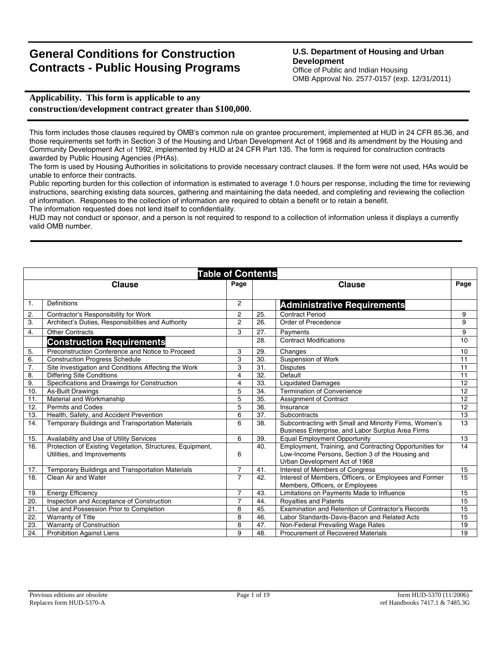# **General Conditions for Construction Contracts - Public Housing Programs**

# **U.S. Department of Housing and Urban Development**

Office of Public and Indian Housing OMB Approval No. 2577-0157 (exp. 12/31/2011)

# **Applicability. This form is applicable to any construction/development contract greater than \$100,000**.

This form includes those clauses required by OMB's common rule on grantee procurement, implemented at HUD in 24 CFR 85.36, and those requirements set forth in Section 3 of the Housing and Urban Development Act of 1968 and its amendment by the Housing and Community Development Act of 1992, implemented by HUD at 24 CFR Part 135. The form is required for construction contracts awarded by Public Housing Agencies (PHAs).

The form is used by Housing Authorities in solicitations to provide necessary contract clauses. If the form were not used, HAs would be unable to enforce their contracts.

Public reporting burden for this collection of information is estimated to average 1.0 hours per response, including the time for reviewing instructions, searching existing data sources, gathering and maintaining the data needed, and completing and reviewing the collection of information. Responses to the collection of information are required to obtain a benefit or to retain a benefit.

The information requested does not lend itself to confidentiality.

HUD may not conduct or sponsor, and a person is not required to respond to a collection of information unless it displays a currently valid OMB number.

| <b>Table of Contents</b> |                                                           |                         |     |                                                                                                            |      |
|--------------------------|-----------------------------------------------------------|-------------------------|-----|------------------------------------------------------------------------------------------------------------|------|
|                          | <b>Clause</b>                                             | Page                    |     | <b>Clause</b>                                                                                              | Page |
|                          |                                                           |                         |     |                                                                                                            |      |
| $\mathbf{1}$ .           | Definitions                                               | $\overline{2}$          |     | <b>Administrative Requirements</b>                                                                         |      |
| 2.                       | Contractor's Responsibility for Work                      | $\overline{2}$          | 25. | <b>Contract Period</b>                                                                                     | 9    |
| 3.                       | Architect's Duties, Responsibilities and Authority        | $\overline{2}$          | 26. | Order of Precedence                                                                                        | 9    |
| 4.                       | <b>Other Contracts</b>                                    | 3                       | 27. | Payments                                                                                                   | 9    |
|                          | <b>Construction Requirements</b>                          |                         | 28. | <b>Contract Modifications</b>                                                                              | 10   |
| 5.                       | Preconstruction Conference and Notice to Proceed          | 3                       | 29. | Changes                                                                                                    | 10   |
| 6.                       | <b>Construction Progress Schedule</b>                     | 3                       | 30. | Suspension of Work                                                                                         | 11   |
| 7.                       | Site Investigation and Conditions Affecting the Work      | 3                       | 31. | <b>Disputes</b>                                                                                            | 11   |
| 8.                       | <b>Differing Site Conditions</b>                          | $\overline{\mathbf{4}}$ | 32. | Default                                                                                                    | 11   |
| 9.                       | Specifications and Drawings for Construction              | 4                       | 33. | <b>Liquidated Damages</b>                                                                                  | 12   |
| 10                       | As Built Drawings                                         | 5                       | 34. | <b>Termination of Convenience</b>                                                                          | 12   |
| 11.                      | Material and Workmanship                                  | 5                       | 35. | Assignment of Contract                                                                                     | 12   |
| 12.                      | <b>Permits and Codes</b>                                  | 5                       | 36. | Insurance                                                                                                  | 12   |
| 13.                      | Health, Safety, and Accident Prevention                   | 6                       | 37. | Subcontracts                                                                                               | 13   |
| 14.                      | <b>Temporary Buildings and Transportation Materials</b>   | 6                       | 38. | Subcontracting with Small and Minority Firms, Women's<br>Business Enterprise, and Labor Surplus Area Firms | 13   |
| 15.                      | Availability and Use of Utility Services                  | 6                       | 39. | <b>Equal Employment Opportunity</b>                                                                        | 13   |
| 16.                      | Protection of Existing Vegetation, Structures, Equipment, |                         | 40. | Employment, Training, and Contracting Opportunities for                                                    | 14   |
|                          | Utilities, and Improvements                               | 6                       |     | Low-Income Persons, Section 3 of the Housing and<br>Urban Development Act of 1968                          |      |
| 17.                      | Temporary Buildings and Transportation Materials          | $\overline{7}$          | 41. | Interest of Members of Congress                                                                            | 15   |
| 18.                      | Clean Air and Water                                       | $\overline{7}$          | 42. | Interest of Members, Officers, or Employees and Former<br>Members, Officers, or Employees                  | 15   |
| 19.                      | <b>Energy Efficiency</b>                                  | $\overline{7}$          | 43. | Limitations on Payments Made to Influence                                                                  | 15   |
| 20.                      | Inspection and Acceptance of Construction                 | $\overline{7}$          | 44. | <b>Royalties and Patents</b>                                                                               | 15   |
| 21.                      | Use and Possession Prior to Completion                    | 8                       | 45. | Examination and Retention of Contractor's Records                                                          | 15   |
| 22.                      | <b>Warranty of Title</b>                                  | 8                       | 46. | Labor Standards-Davis-Bacon and Related Acts                                                               | 15   |
| 23.                      | Warranty of Construction                                  | 8                       | 47. | Non-Federal Prevailing Wage Rates                                                                          | 19   |
| 24.                      | <b>Prohibition Against Liens</b>                          | 9                       | 48. | <b>Procurement of Recovered Materials</b>                                                                  | 19   |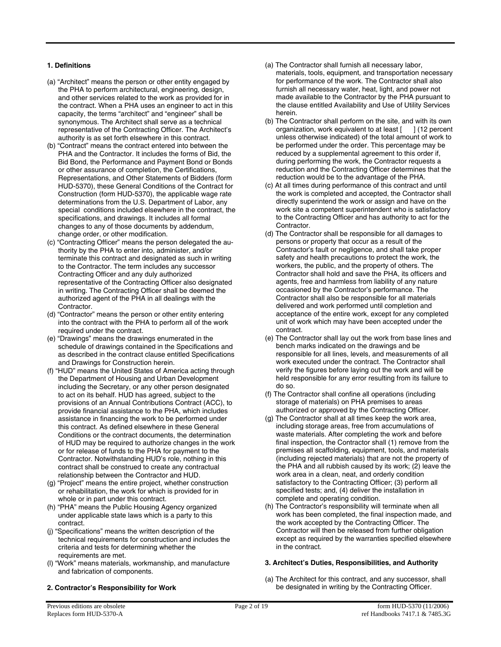## **1. Definitions**

- (a) "Architect" means the person or other entity engaged by the PHA to perform architectural, engineering, design, and other services related to the work as provided for in the contract. When a PHA uses an engineer to act in this capacity, the terms "architect" and "engineer" shall be synonymous. The Architect shall serve as a technical representative of the Contracting Officer. The Architect's authority is as set forth elsewhere in this contract.
- (b) "Contract" means the contract entered into between the PHA and the Contractor. It includes the forms of Bid, the Bid Bond, the Performance and Payment Bond or Bonds or other assurance of completion, the Certifications, Representations, and Other Statements of Bidders (form HUD-5370), these General Conditions of the Contract for Construction (form HUD-5370), the applicable wage rate determinations from the U.S. Department of Labor, any special conditions included elsewhere in the contract, the specifications, and drawings. It includes all formal changes to any of those documents by addendum, change order, or other modification.
- (c) "Contracting Officer" means the person delegated the authority by the PHA to enter into, administer, and/or terminate this contract and designated as such in writing to the Contractor. The term includes any successor Contracting Officer and any duly authorized representative of the Contracting Officer also designated in writing. The Contracting Officer shall be deemed the authorized agent of the PHA in all dealings with the Contractor.
- (d) "Contractor" means the person or other entity entering into the contract with the PHA to perform all of the work required under the contract.
- (e) "Drawings" means the drawings enumerated in the schedule of drawings contained in the Specifications and as described in the contract clause entitled Specifications and Drawings for Construction herein.
- (f) "HUD" means the United States of America acting through the Department of Housing and Urban Development including the Secretary, or any other person designated to act on its behalf. HUD has agreed, subject to the provisions of an Annual Contributions Contract (ACC), to provide financial assistance to the PHA, which includes assistance in financing the work to be performed under this contract. As defined elsewhere in these General Conditions or the contract documents, the determination of HUD may be required to authorize changes in the work or for release of funds to the PHA for payment to the Contractor. Notwithstanding HUD's role, nothing in this contract shall be construed to create any contractual relationship between the Contractor and HUD.
- (g) "Project" means the entire project, whether construction or rehabilitation, the work for which is provided for in whole or in part under this contract.
- (h) "PHA" means the Public Housing Agency organized under applicable state laws which is a party to this contract.
- (j) "Specifications" means the written description of the technical requirements for construction and includes the criteria and tests for determining whether the requirements are met.
- (l) "Work" means materials, workmanship, and manufacture and fabrication of components.

## **2. Contractor's Responsibility for Work**

- (a) The Contractor shall furnish all necessary labor, materials, tools, equipment, and transportation necessary for performance of the work. The Contractor shall also furnish all necessary water, heat, light, and power not made available to the Contractor by the PHA pursuant to the clause entitled Availability and Use of Utility Services herein.
- (b) The Contractor shall perform on the site, and with its own organization, work equivalent to at least [ ] (12 percent unless otherwise indicated) of the total amount of work to be performed under the order. This percentage may be reduced by a supplemental agreement to this order if, during performing the work, the Contractor requests a reduction and the Contracting Officer determines that the reduction would be to the advantage of the PHA.
- (c) At all times during performance of this contract and until the work is completed and accepted, the Contractor shall directly superintend the work or assign and have on the work site a competent superintendent who is satisfactory to the Contracting Officer and has authority to act for the Contractor.
- (d) The Contractor shall be responsible for all damages to persons or property that occur as a result of the Contractor's fault or negligence, and shall take proper safety and health precautions to protect the work, the workers, the public, and the property of others. The Contractor shall hold and save the PHA, its officers and agents, free and harmless from liability of any nature occasioned by the Contractor's performance. The Contractor shall also be responsible for all materials delivered and work performed until completion and acceptance of the entire work, except for any completed unit of work which may have been accepted under the contract.
- (e) The Contractor shall lay out the work from base lines and bench marks indicated on the drawings and be responsible for all lines, levels, and measurements of all work executed under the contract. The Contractor shall verify the figures before laying out the work and will be held responsible for any error resulting from its failure to do so.
- (f) The Contractor shall confine all operations (including storage of materials) on PHA premises to areas authorized or approved by the Contracting Officer.
- (g) The Contractor shall at all times keep the work area, including storage areas, free from accumulations of waste materials. After completing the work and before final inspection, the Contractor shall (1) remove from the premises all scaffolding, equipment, tools, and materials (including rejected materials) that are not the property of the PHA and all rubbish caused by its work; (2) leave the work area in a clean, neat, and orderly condition satisfactory to the Contracting Officer; (3) perform all specified tests; and, (4) deliver the installation in complete and operating condition.
- (h) The Contractor's responsibility will terminate when all work has been completed, the final inspection made, and the work accepted by the Contracting Officer. The Contractor will then be released from further obligation except as required by the warranties specified elsewhere in the contract.

## **3. Architect's Duties, Responsibilities, and Authority**

(a) The Architect for this contract, and any successor, shall be designated in writing by the Contracting Officer.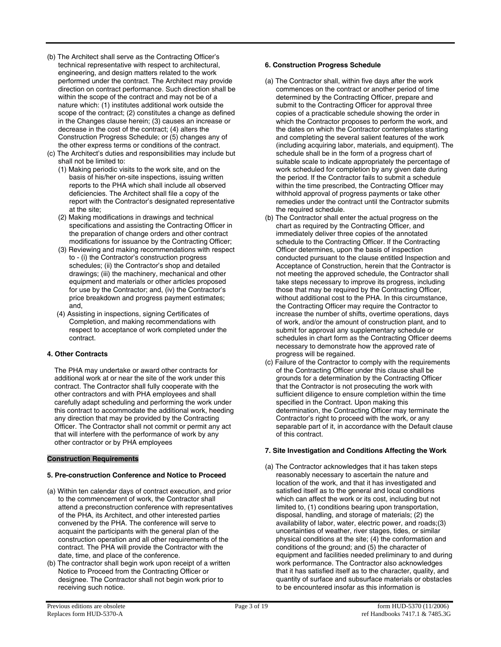- (b) The Architect shall serve as the Contracting Officer's technical representative with respect to architectural, engineering, and design matters related to the work performed under the contract. The Architect may provide direction on contract performance. Such direction shall be within the scope of the contract and may not be of a nature which: (1) institutes additional work outside the scope of the contract; (2) constitutes a change as defined in the Changes clause herein; (3) causes an increase or decrease in the cost of the contract; (4) alters the Construction Progress Schedule; or (5) changes any of the other express terms or conditions of the contract.
- (c) The Architect's duties and responsibilities may include but shall not be limited to:
	- (1) Making periodic visits to the work site, and on the basis of his/her on-site inspections, issuing written reports to the PHA which shall include all observed deficiencies. The Architect shall file a copy of the report with the Contractor's designated representative at the site;
	- (2) Making modifications in drawings and technical specifications and assisting the Contracting Officer in the preparation of change orders and other contract modifications for issuance by the Contracting Officer;
	- (3) Reviewing and making recommendations with respect to - (i) the Contractor's construction progress schedules; (ii) the Contractor's shop and detailed drawings; (iii) the machinery, mechanical and other equipment and materials or other articles proposed for use by the Contractor; and, (iv) the Contractor's price breakdown and progress payment estimates; and,
	- (4) Assisting in inspections, signing Certificates of Completion, and making recommendations with respect to acceptance of work completed under the contract.

## **4. Other Contracts**

The PHA may undertake or award other contracts for additional work at or near the site of the work under this contract. The Contractor shall fully cooperate with the other contractors and with PHA employees and shall carefully adapt scheduling and performing the work under this contract to accommodate the additional work, heeding any direction that may be provided by the Contracting Officer. The Contractor shall not commit or permit any act that will interfere with the performance of work by any other contractor or by PHA employees

## **Construction Requirements**

# **5. Pre-construction Conference and Notice to Proceed**

- (a) Within ten calendar days of contract execution, and prior to the commencement of work, the Contractor shall attend a preconstruction conference with representatives of the PHA, its Architect, and other interested parties convened by the PHA. The conference will serve to acquaint the participants with the general plan of the construction operation and all other requirements of the contract. The PHA will provide the Contractor with the date, time, and place of the conference.
- (b) The contractor shall begin work upon receipt of a written Notice to Proceed from the Contracting Officer or designee. The Contractor shall not begin work prior to receiving such notice.

## **6. Construction Progress Schedule**

- (a) The Contractor shall, within five days after the work commences on the contract or another period of time determined by the Contracting Officer, prepare and submit to the Contracting Officer for approval three copies of a practicable schedule showing the order in which the Contractor proposes to perform the work, and the dates on which the Contractor contemplates starting and completing the several salient features of the work (including acquiring labor, materials, and equipment). The schedule shall be in the form of a progress chart of suitable scale to indicate appropriately the percentage of work scheduled for completion by any given date during the period. If the Contractor fails to submit a schedule within the time prescribed, the Contracting Officer may withhold approval of progress payments or take other remedies under the contract until the Contractor submits the required schedule.
- (b) The Contractor shall enter the actual progress on the chart as required by the Contracting Officer, and immediately deliver three copies of the annotated schedule to the Contracting Officer. If the Contracting Officer determines, upon the basis of inspection conducted pursuant to the clause entitled Inspection and Acceptance of Construction, herein that the Contractor is not meeting the approved schedule, the Contractor shall take steps necessary to improve its progress, including those that may be required by the Contracting Officer, without additional cost to the PHA. In this circumstance, the Contracting Officer may require the Contractor to increase the number of shifts, overtime operations, days of work, and/or the amount of construction plant, and to submit for approval any supplementary schedule or schedules in chart form as the Contracting Officer deems necessary to demonstrate how the approved rate of progress will be regained.
- (c) Failure of the Contractor to comply with the requirements of the Contracting Officer under this clause shall be grounds for a determination by the Contracting Officer that the Contractor is not prosecuting the work with sufficient diligence to ensure completion within the time specified in the Contract. Upon making this determination, the Contracting Officer may terminate the Contractor's right to proceed with the work, or any separable part of it, in accordance with the Default clause of this contract.

## **7. Site Investigation and Conditions Affecting the Work**

(a) The Contractor acknowledges that it has taken steps reasonably necessary to ascertain the nature and location of the work, and that it has investigated and satisfied itself as to the general and local conditions which can affect the work or its cost, including but not limited to, (1) conditions bearing upon transportation, disposal, handling, and storage of materials; (2) the availability of labor, water, electric power, and roads;(3) uncertainties of weather, river stages, tides, or similar physical conditions at the site; (4) the conformation and conditions of the ground; and (5) the character of equipment and facilities needed preliminary to and during work performance. The Contractor also acknowledges that it has satisfied itself as to the character, quality, and quantity of surface and subsurface materials or obstacles to be encountered insofar as this information is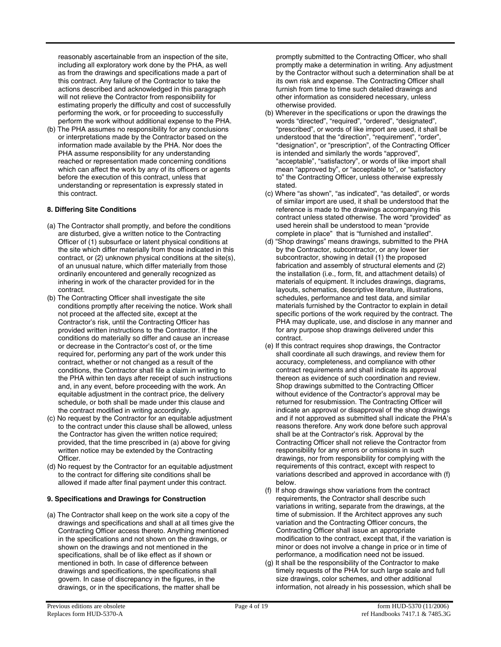reasonably ascertainable from an inspection of the site, including all exploratory work done by the PHA, as well as from the drawings and specifications made a part of this contract. Any failure of the Contractor to take the actions described and acknowledged in this paragraph will not relieve the Contractor from responsibility for estimating properly the difficulty and cost of successfully performing the work, or for proceeding to successfully perform the work without additional expense to the PHA.

(b) The PHA assumes no responsibility for any conclusions or interpretations made by the Contractor based on the information made available by the PHA. Nor does the PHA assume responsibility for any understanding reached or representation made concerning conditions which can affect the work by any of its officers or agents before the execution of this contract, unless that understanding or representation is expressly stated in this contract.

## **8. Differing Site Conditions**

- (a) The Contractor shall promptly, and before the conditions are disturbed, give a written notice to the Contracting Officer of (1) subsurface or latent physical conditions at the site which differ materially from those indicated in this contract, or (2) unknown physical conditions at the site(s), of an unusual nature, which differ materially from those ordinarily encountered and generally recognized as inhering in work of the character provided for in the contract.
- (b) The Contracting Officer shall investigate the site conditions promptly after receiving the notice. Work shall not proceed at the affected site, except at the Contractor's risk, until the Contracting Officer has provided written instructions to the Contractor. If the conditions do materially so differ and cause an increase or decrease in the Contractor's cost of, or the time required for, performing any part of the work under this contract, whether or not changed as a result of the conditions, the Contractor shall file a claim in writing to the PHA within ten days after receipt of such instructions and, in any event, before proceeding with the work. An equitable adjustment in the contract price, the delivery schedule, or both shall be made under this clause and the contract modified in writing accordingly.
- (c) No request by the Contractor for an equitable adjustment to the contract under this clause shall be allowed, unless the Contractor has given the written notice required; provided, that the time prescribed in (a) above for giving written notice may be extended by the Contracting Officer.
- (d) No request by the Contractor for an equitable adjustment to the contract for differing site conditions shall be allowed if made after final payment under this contract.

## **9. Specifications and Drawings for Construction**

(a) The Contractor shall keep on the work site a copy of the drawings and specifications and shall at all times give the Contracting Officer access thereto. Anything mentioned in the specifications and not shown on the drawings, or shown on the drawings and not mentioned in the specifications, shall be of like effect as if shown or mentioned in both. In case of difference between drawings and specifications, the specifications shall govern. In case of discrepancy in the figures, in the drawings, or in the specifications, the matter shall be

promptly submitted to the Contracting Officer, who shall promptly make a determination in writing. Any adjustment by the Contractor without such a determination shall be at its own risk and expense. The Contracting Officer shall furnish from time to time such detailed drawings and other information as considered necessary, unless otherwise provided.

- (b) Wherever in the specifications or upon the drawings the words "directed", "required", "ordered", "designated", "prescribed", or words of like import are used, it shall be understood that the "direction", "requirement", "order", "designation", or "prescription", of the Contracting Officer is intended and similarly the words "approved", "acceptable", "satisfactory", or words of like import shall mean "approved by", or "acceptable to", or "satisfactory to" the Contracting Officer, unless otherwise expressly stated.
- (c) Where "as shown", "as indicated", "as detailed", or words of similar import are used, it shall be understood that the reference is made to the drawings accompanying this contract unless stated otherwise. The word "provided" as used herein shall be understood to mean "provide complete in place" that is "furnished and installed".
- (d) "Shop drawings" means drawings, submitted to the PHA by the Contractor, subcontractor, or any lower tier subcontractor, showing in detail (1) the proposed fabrication and assembly of structural elements and (2) the installation (i.e., form, fit, and attachment details) of materials of equipment. It includes drawings, diagrams, layouts, schematics, descriptive literature, illustrations, schedules, performance and test data, and similar materials furnished by the Contractor to explain in detail specific portions of the work required by the contract. The PHA may duplicate, use, and disclose in any manner and for any purpose shop drawings delivered under this contract.
- (e) If this contract requires shop drawings, the Contractor shall coordinate all such drawings, and review them for accuracy, completeness, and compliance with other contract requirements and shall indicate its approval thereon as evidence of such coordination and review. Shop drawings submitted to the Contracting Officer without evidence of the Contractor's approval may be returned for resubmission. The Contracting Officer will indicate an approval or disapproval of the shop drawings and if not approved as submitted shall indicate the PHA's reasons therefore. Any work done before such approval shall be at the Contractor's risk. Approval by the Contracting Officer shall not relieve the Contractor from responsibility for any errors or omissions in such drawings, nor from responsibility for complying with the requirements of this contract, except with respect to variations described and approved in accordance with (f) below.
- (f) If shop drawings show variations from the contract requirements, the Contractor shall describe such variations in writing, separate from the drawings, at the time of submission. If the Architect approves any such variation and the Contracting Officer concurs, the Contracting Officer shall issue an appropriate modification to the contract, except that, if the variation is minor or does not involve a change in price or in time of performance, a modification need not be issued.
- (g) It shall be the responsibility of the Contractor to make timely requests of the PHA for such large scale and full size drawings, color schemes, and other additional information, not already in his possession, which shall be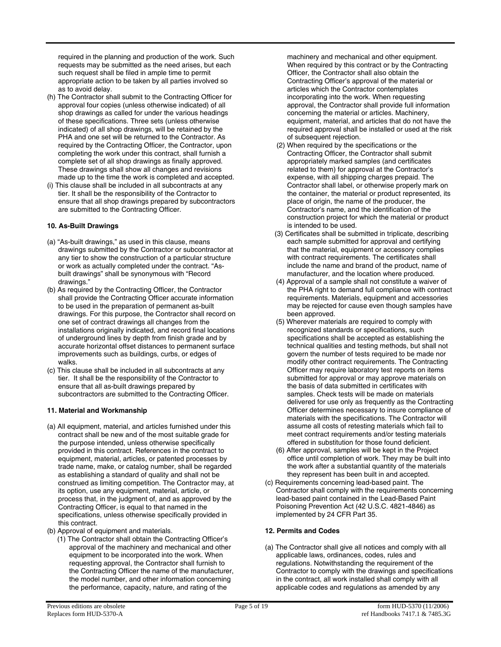required in the planning and production of the work. Such requests may be submitted as the need arises, but each such request shall be filed in ample time to permit appropriate action to be taken by all parties involved so as to avoid delay.

- (h) The Contractor shall submit to the Contracting Officer for approval four copies (unless otherwise indicated) of all shop drawings as called for under the various headings of these specifications. Three sets (unless otherwise indicated) of all shop drawings, will be retained by the PHA and one set will be returned to the Contractor. As required by the Contracting Officer, the Contractor, upon completing the work under this contract, shall furnish a complete set of all shop drawings as finally approved. These drawings shall show all changes and revisions made up to the time the work is completed and accepted.
- (i) This clause shall be included in all subcontracts at any tier. It shall be the responsibility of the Contractor to ensure that all shop drawings prepared by subcontractors are submitted to the Contracting Officer.

## **10. As-Built Drawings**

- (a) "As-built drawings," as used in this clause, means drawings submitted by the Contractor or subcontractor at any tier to show the construction of a particular structure or work as actually completed under the contract. "Asbuilt drawings" shall be synonymous with "Record drawings."
- (b) As required by the Contracting Officer, the Contractor shall provide the Contracting Officer accurate information to be used in the preparation of permanent as-built drawings. For this purpose, the Contractor shall record on one set of contract drawings all changes from the installations originally indicated, and record final locations of underground lines by depth from finish grade and by accurate horizontal offset distances to permanent surface improvements such as buildings, curbs, or edges of walks.
- (c) This clause shall be included in all subcontracts at any tier. It shall be the responsibility of the Contractor to ensure that all as-built drawings prepared by subcontractors are submitted to the Contracting Officer.

# **11. Material and Workmanship**

- (a) All equipment, material, and articles furnished under this contract shall be new and of the most suitable grade for the purpose intended, unless otherwise specifically provided in this contract. References in the contract to equipment, material, articles, or patented processes by trade name, make, or catalog number, shall be regarded as establishing a standard of quality and shall not be construed as limiting competition. The Contractor may, at its option, use any equipment, material, article, or process that, in the judgment of, and as approved by the Contracting Officer, is equal to that named in the specifications, unless otherwise specifically provided in this contract.
- (b) Approval of equipment and materials.
	- (1) The Contractor shall obtain the Contracting Officer's approval of the machinery and mechanical and other equipment to be incorporated into the work. When requesting approval, the Contractor shall furnish to the Contracting Officer the name of the manufacturer, the model number, and other information concerning the performance, capacity, nature, and rating of the

machinery and mechanical and other equipment. When required by this contract or by the Contracting Officer, the Contractor shall also obtain the Contracting Officer's approval of the material or articles which the Contractor contemplates incorporating into the work. When requesting approval, the Contractor shall provide full information concerning the material or articles. Machinery, equipment, material, and articles that do not have the required approval shall be installed or used at the risk of subsequent rejection.

- (2) When required by the specifications or the Contracting Officer, the Contractor shall submit appropriately marked samples (and certificates related to them) for approval at the Contractor's expense, with all shipping charges prepaid. The Contractor shall label, or otherwise properly mark on the container, the material or product represented, its place of origin, the name of the producer, the Contractor's name, and the identification of the construction project for which the material or product is intended to be used.
- (3) Certificates shall be submitted in triplicate, describing each sample submitted for approval and certifying that the material, equipment or accessory complies with contract requirements. The certificates shall include the name and brand of the product, name of manufacturer, and the location where produced.
- (4) Approval of a sample shall not constitute a waiver of the PHA right to demand full compliance with contract requirements. Materials, equipment and accessories may be rejected for cause even though samples have been approved.
- (5) Wherever materials are required to comply with recognized standards or specifications, such specifications shall be accepted as establishing the technical qualities and testing methods, but shall not govern the number of tests required to be made nor modify other contract requirements. The Contracting Officer may require laboratory test reports on items submitted for approval or may approve materials on the basis of data submitted in certificates with samples. Check tests will be made on materials delivered for use only as frequently as the Contracting Officer determines necessary to insure compliance of materials with the specifications. The Contractor will assume all costs of retesting materials which fail to meet contract requirements and/or testing materials offered in substitution for those found deficient.
- (6) After approval, samples will be kept in the Project office until completion of work. They may be built into the work after a substantial quantity of the materials they represent has been built in and accepted.
- (c) Requirements concerning lead-based paint. The Contractor shall comply with the requirements concerning lead-based paint contained in the Lead-Based Paint Poisoning Prevention Act (42 U.S.C. 4821-4846) as implemented by 24 CFR Part 35.

# **12. Permits and Codes**

(a) The Contractor shall give all notices and comply with all applicable laws, ordinances, codes, rules and regulations. Notwithstanding the requirement of the Contractor to comply with the drawings and specifications in the contract, all work installed shall comply with all applicable codes and regulations as amended by any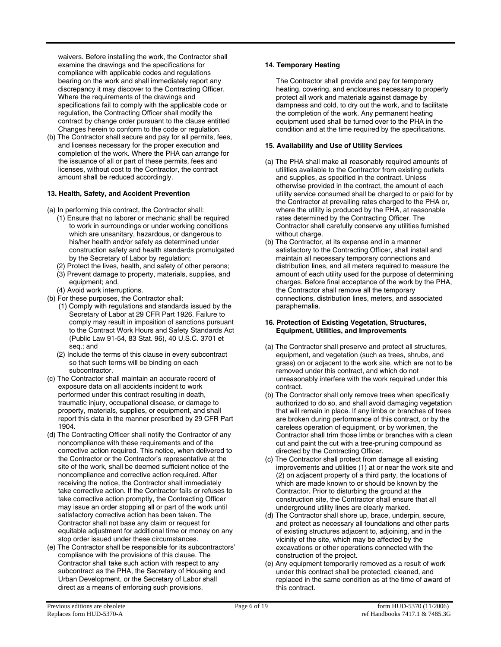waivers. Before installing the work, the Contractor shall examine the drawings and the specifications for compliance with applicable codes and regulations bearing on the work and shall immediately report any discrepancy it may discover to the Contracting Officer. Where the requirements of the drawings and specifications fail to comply with the applicable code or regulation, the Contracting Officer shall modify the contract by change order pursuant to the clause entitled Changes herein to conform to the code or regulation.

(b) The Contractor shall secure and pay for all permits, fees, and licenses necessary for the proper execution and completion of the work. Where the PHA can arrange for the issuance of all or part of these permits, fees and licenses, without cost to the Contractor, the contract amount shall be reduced accordingly.

## **13. Health, Safety, and Accident Prevention**

- (a) In performing this contract, the Contractor shall:
	- (1) Ensure that no laborer or mechanic shall be required to work in surroundings or under working conditions which are unsanitary, hazardous, or dangerous to his/her health and/or safety as determined under construction safety and health standards promulgated by the Secretary of Labor by regulation;
	- (2) Protect the lives, health, and safety of other persons;
	- (3) Prevent damage to property, materials, supplies, and equipment; and,
	- (4) Avoid work interruptions.
- (b) For these purposes, the Contractor shall:
	- (1) Comply with regulations and standards issued by the Secretary of Labor at 29 CFR Part 1926. Failure to comply may result in imposition of sanctions pursuant to the Contract Work Hours and Safety Standards Act (Public Law 91-54, 83 Stat. 96), 40 U.S.C. 3701 et seq.; and
	- (2) Include the terms of this clause in every subcontract so that such terms will be binding on each subcontractor.
- (c) The Contractor shall maintain an accurate record of exposure data on all accidents incident to work performed under this contract resulting in death, traumatic injury, occupational disease, or damage to property, materials, supplies, or equipment, and shall report this data in the manner prescribed by 29 CFR Part 1904.
- (d) The Contracting Officer shall notify the Contractor of any noncompliance with these requirements and of the corrective action required. This notice, when delivered to the Contractor or the Contractor's representative at the site of the work, shall be deemed sufficient notice of the noncompliance and corrective action required. After receiving the notice, the Contractor shall immediately take corrective action. If the Contractor fails or refuses to take corrective action promptly, the Contracting Officer may issue an order stopping all or part of the work until satisfactory corrective action has been taken. The Contractor shall not base any claim or request for equitable adjustment for additional time or money on any stop order issued under these circumstances.
- (e) The Contractor shall be responsible for its subcontractors' compliance with the provisions of this clause. The Contractor shall take such action with respect to any subcontract as the PHA, the Secretary of Housing and Urban Development, or the Secretary of Labor shall direct as a means of enforcing such provisions.

## **14. Temporary Heating**

The Contractor shall provide and pay for temporary heating, covering, and enclosures necessary to properly protect all work and materials against damage by dampness and cold, to dry out the work, and to facilitate the completion of the work. Any permanent heating equipment used shall be turned over to the PHA in the condition and at the time required by the specifications.

## **15. Availability and Use of Utility Services**

- (a) The PHA shall make all reasonably required amounts of utilities available to the Contractor from existing outlets and supplies, as specified in the contract. Unless otherwise provided in the contract, the amount of each utility service consumed shall be charged to or paid for by the Contractor at prevailing rates charged to the PHA or, where the utility is produced by the PHA, at reasonable rates determined by the Contracting Officer. The Contractor shall carefully conserve any utilities furnished without charge.
- (b) The Contractor, at its expense and in a manner satisfactory to the Contracting Officer, shall install and maintain all necessary temporary connections and distribution lines, and all meters required to measure the amount of each utility used for the purpose of determining charges. Before final acceptance of the work by the PHA, the Contractor shall remove all the temporary connections, distribution lines, meters, and associated paraphernalia.

#### **16. Protection of Existing Vegetation, Structures, Equipment, Utilities, and Improvements**

- (a) The Contractor shall preserve and protect all structures, equipment, and vegetation (such as trees, shrubs, and grass) on or adjacent to the work site, which are not to be removed under this contract, and which do not unreasonably interfere with the work required under this contract.
- (b) The Contractor shall only remove trees when specifically authorized to do so, and shall avoid damaging vegetation that will remain in place. If any limbs or branches of trees are broken during performance of this contract, or by the careless operation of equipment, or by workmen, the Contractor shall trim those limbs or branches with a clean cut and paint the cut with a tree-pruning compound as directed by the Contracting Officer.
- (c) The Contractor shall protect from damage all existing improvements and utilities (1) at or near the work site and (2) on adjacent property of a third party, the locations of which are made known to or should be known by the Contractor. Prior to disturbing the ground at the construction site, the Contractor shall ensure that all underground utility lines are clearly marked.
- (d) The Contractor shall shore up, brace, underpin, secure, and protect as necessary all foundations and other parts of existing structures adjacent to, adjoining, and in the vicinity of the site, which may be affected by the excavations or other operations connected with the construction of the project.
- (e) Any equipment temporarily removed as a result of work under this contract shall be protected, cleaned, and replaced in the same condition as at the time of award of this contract.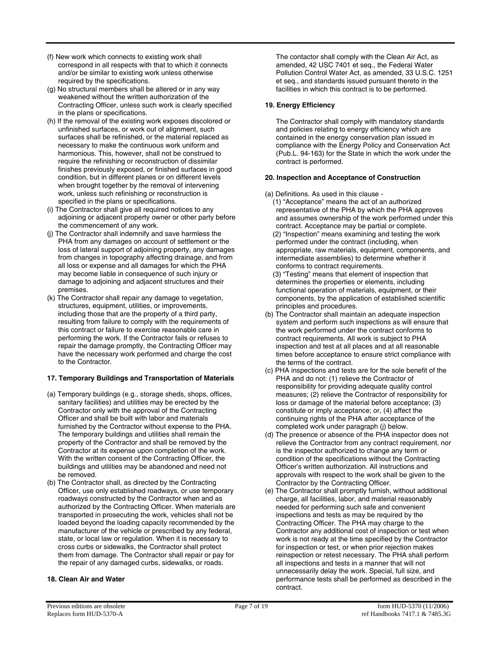- (f) New work which connects to existing work shall correspond in all respects with that to which it connects and/or be similar to existing work unless otherwise required by the specifications.
- (g) No structural members shall be altered or in any way weakened without the written authorization of the Contracting Officer, unless such work is clearly specified in the plans or specifications.
- (h) If the removal of the existing work exposes discolored or unfinished surfaces, or work out of alignment, such surfaces shall be refinished, or the material replaced as necessary to make the continuous work uniform and harmonious. This, however, shall not be construed to require the refinishing or reconstruction of dissimilar finishes previously exposed, or finished surfaces in good condition, but in different planes or on different levels when brought together by the removal of intervening work, unless such refinishing or reconstruction is specified in the plans or specifications.
- (i) The Contractor shall give all required notices to any adjoining or adjacent property owner or other party before the commencement of any work.
- (j) The Contractor shall indemnify and save harmless the PHA from any damages on account of settlement or the loss of lateral support of adjoining property, any damages from changes in topography affecting drainage, and from all loss or expense and all damages for which the PHA may become liable in consequence of such injury or damage to adjoining and adjacent structures and their premises.
- (k) The Contractor shall repair any damage to vegetation, structures, equipment, utilities, or improvements, including those that are the property of a third party, resulting from failure to comply with the requirements of this contract or failure to exercise reasonable care in performing the work. If the Contractor fails or refuses to repair the damage promptly, the Contracting Officer may have the necessary work performed and charge the cost to the Contractor.

## **17. Temporary Buildings and Transportation of Materials**

- (a) Temporary buildings (e.g., storage sheds, shops, offices, sanitary facilities) and utilities may be erected by the Contractor only with the approval of the Contracting Officer and shall be built with labor and materials furnished by the Contractor without expense to the PHA. The temporary buildings and utilities shall remain the property of the Contractor and shall be removed by the Contractor at its expense upon completion of the work. With the written consent of the Contracting Officer, the buildings and utilities may be abandoned and need not be removed.
- (b) The Contractor shall, as directed by the Contracting Officer, use only established roadways, or use temporary roadways constructed by the Contractor when and as authorized by the Contracting Officer. When materials are transported in prosecuting the work, vehicles shall not be loaded beyond the loading capacity recommended by the manufacturer of the vehicle or prescribed by any federal, state, or local law or regulation. When it is necessary to cross curbs or sidewalks, the Contractor shall protect them from damage. The Contractor shall repair or pay for the repair of any damaged curbs, sidewalks, or roads.

## **18. Clean Air and Water**

The contactor shall comply with the Clean Air Act, as amended, 42 USC 7401 et seq., the Federal Water Pollution Control Water Act, as amended, 33 U.S.C. 1251 et seq., and standards issued pursuant thereto in the facilities in which this contract is to be performed.

## **19. Energy Efficiency**

The Contractor shall comply with mandatory standards and policies relating to energy efficiency which are contained in the energy conservation plan issued in compliance with the Energy Policy and Conservation Act (Pub.L. 94-163) for the State in which the work under the contract is performed.

## **20. Inspection and Acceptance of Construction**

- (a) Definitions. As used in this clause
	- (1) "Acceptance" means the act of an authorized representative of the PHA by which the PHA approves and assumes ownership of the work performed under this contract. Acceptance may be partial or complete.
	- (2) "Inspection" means examining and testing the work performed under the contract (including, when appropriate, raw materials, equipment, components, and intermediate assemblies) to determine whether it conforms to contract requirements.
	- (3) "Testing" means that element of inspection that determines the properties or elements, including functional operation of materials, equipment, or their components, by the application of established scientific principles and procedures.
- (b) The Contractor shall maintain an adequate inspection system and perform such inspections as will ensure that the work performed under the contract conforms to contract requirements. All work is subject to PHA inspection and test at all places and at all reasonable times before acceptance to ensure strict compliance with the terms of the contract.
- (c) PHA inspections and tests are for the sole benefit of the PHA and do not: (1) relieve the Contractor of responsibility for providing adequate quality control measures; (2) relieve the Contractor of responsibility for loss or damage of the material before acceptance; (3) constitute or imply acceptance; or, (4) affect the continuing rights of the PHA after acceptance of the completed work under paragraph (j) below.
- (d) The presence or absence of the PHA inspector does not relieve the Contractor from any contract requirement, nor is the inspector authorized to change any term or condition of the specifications without the Contracting Officer's written authorization. All instructions and approvals with respect to the work shall be given to the Contractor by the Contracting Officer.
- (e) The Contractor shall promptly furnish, without additional charge, all facilities, labor, and material reasonably needed for performing such safe and convenient inspections and tests as may be required by the Contracting Officer. The PHA may charge to the Contractor any additional cost of inspection or test when work is not ready at the time specified by the Contractor for inspection or test, or when prior rejection makes reinspection or retest necessary. The PHA shall perform all inspections and tests in a manner that will not unnecessarily delay the work. Special, full size, and performance tests shall be performed as described in the contract.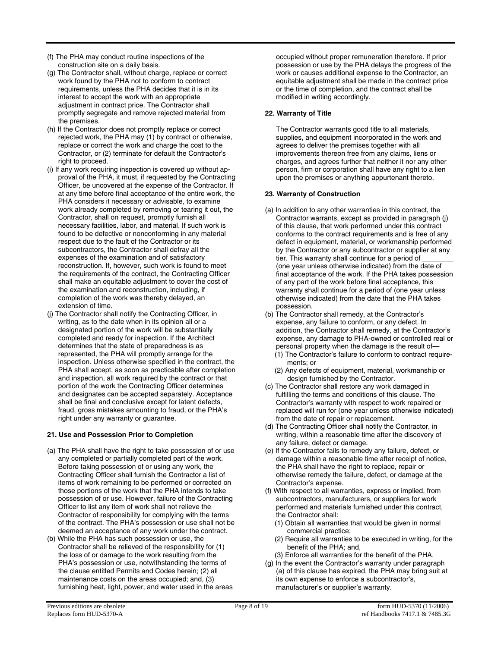- (f) The PHA may conduct routine inspections of the construction site on a daily basis.
- (g) The Contractor shall, without charge, replace or correct work found by the PHA not to conform to contract requirements, unless the PHA decides that it is in its interest to accept the work with an appropriate adjustment in contract price. The Contractor shall promptly segregate and remove rejected material from the premises.
- (h) If the Contractor does not promptly replace or correct rejected work, the PHA may (1) by contract or otherwise, replace or correct the work and charge the cost to the Contractor, or (2) terminate for default the Contractor's right to proceed.
- (i) If any work requiring inspection is covered up without approval of the PHA, it must, if requested by the Contracting Officer, be uncovered at the expense of the Contractor. If at any time before final acceptance of the entire work, the PHA considers it necessary or advisable, to examine work already completed by removing or tearing it out, the Contractor, shall on request, promptly furnish all necessary facilities, labor, and material. If such work is found to be defective or nonconforming in any material respect due to the fault of the Contractor or its subcontractors, the Contractor shall defray all the expenses of the examination and of satisfactory reconstruction. If, however, such work is found to meet the requirements of the contract, the Contracting Officer shall make an equitable adjustment to cover the cost of the examination and reconstruction, including, if completion of the work was thereby delayed, an extension of time.
- (j) The Contractor shall notify the Contracting Officer, in writing, as to the date when in its opinion all or a designated portion of the work will be substantially completed and ready for inspection. If the Architect determines that the state of preparedness is as represented, the PHA will promptly arrange for the inspection. Unless otherwise specified in the contract, the PHA shall accept, as soon as practicable after completion and inspection, all work required by the contract or that portion of the work the Contracting Officer determines and designates can be accepted separately. Acceptance shall be final and conclusive except for latent defects, fraud, gross mistakes amounting to fraud, or the PHA's right under any warranty or guarantee.

# **21. Use and Possession Prior to Completion**

- (a) The PHA shall have the right to take possession of or use any completed or partially completed part of the work. Before taking possession of or using any work, the Contracting Officer shall furnish the Contractor a list of items of work remaining to be performed or corrected on those portions of the work that the PHA intends to take possession of or use. However, failure of the Contracting Officer to list any item of work shall not relieve the Contractor of responsibility for complying with the terms of the contract. The PHA's possession or use shall not be deemed an acceptance of any work under the contract.
- (b) While the PHA has such possession or use, the Contractor shall be relieved of the responsibility for (1) the loss of or damage to the work resulting from the PHA's possession or use, notwithstanding the terms of the clause entitled Permits and Codes herein; (2) all maintenance costs on the areas occupied; and, (3) furnishing heat, light, power, and water used in the areas

occupied without proper remuneration therefore. If prior possession or use by the PHA delays the progress of the work or causes additional expense to the Contractor, an equitable adjustment shall be made in the contract price or the time of completion, and the contract shall be modified in writing accordingly.

## **22. Warranty of Title**

The Contractor warrants good title to all materials, supplies, and equipment incorporated in the work and agrees to deliver the premises together with all improvements thereon free from any claims, liens or charges, and agrees further that neither it nor any other person, firm or corporation shall have any right to a lien upon the premises or anything appurtenant thereto.

## **23. Warranty of Construction**

- (a) In addition to any other warranties in this contract, the Contractor warrants, except as provided in paragraph (j) of this clause, that work performed under this contract conforms to the contract requirements and is free of any defect in equipment, material, or workmanship performed by the Contractor or any subcontractor or supplier at any tier. This warranty shall continue for a period of (one year unless otherwise indicated) from the date of final acceptance of the work. If the PHA takes possession of any part of the work before final acceptance, this warranty shall continue for a period of (one year unless otherwise indicated) from the date that the PHA takes possession.
- (b) The Contractor shall remedy, at the Contractor's expense, any failure to conform, or any defect. In addition, the Contractor shall remedy, at the Contractor's expense, any damage to PHA-owned or controlled real or personal property when the damage is the result of—
	- (1) The Contractor's failure to conform to contract requirements; or
	- (2) Any defects of equipment, material, workmanship or design furnished by the Contractor.
- (c) The Contractor shall restore any work damaged in fulfilling the terms and conditions of this clause. The Contractor's warranty with respect to work repaired or replaced will run for (one year unless otherwise indicated) from the date of repair or replacement.
- (d) The Contracting Officer shall notify the Contractor, in writing, within a reasonable time after the discovery of any failure, defect or damage.
- (e) If the Contractor fails to remedy any failure, defect, or damage within a reasonable time after receipt of notice, the PHA shall have the right to replace, repair or otherwise remedy the failure, defect, or damage at the Contractor's expense.
- (f) With respect to all warranties, express or implied, from subcontractors, manufacturers, or suppliers for work performed and materials furnished under this contract, the Contractor shall:
	- (1) Obtain all warranties that would be given in normal commercial practice;
	- (2) Require all warranties to be executed in writing, for the benefit of the PHA; and,
	- (3) Enforce all warranties for the benefit of the PHA.
- (g) In the event the Contractor's warranty under paragraph (a) of this clause has expired, the PHA may bring suit at its own expense to enforce a subcontractor's, manufacturer's or supplier's warranty.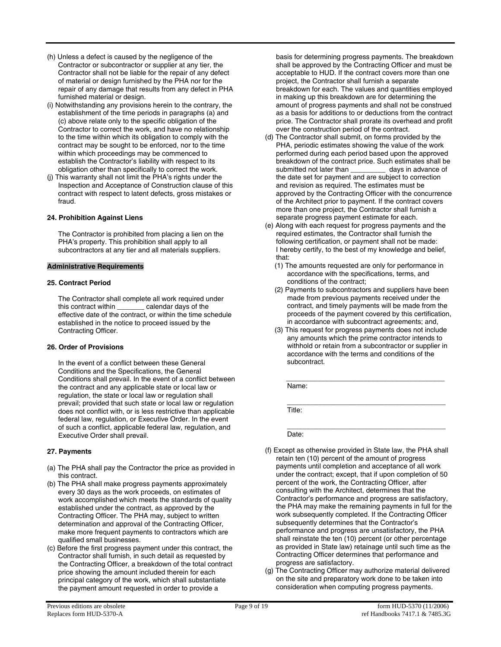- (h) Unless a defect is caused by the negligence of the Contractor or subcontractor or supplier at any tier, the Contractor shall not be liable for the repair of any defect of material or design furnished by the PHA nor for the repair of any damage that results from any defect in PHA furnished material or design.
- (i) Notwithstanding any provisions herein to the contrary, the establishment of the time periods in paragraphs (a) and (c) above relate only to the specific obligation of the Contractor to correct the work, and have no relationship to the time within which its obligation to comply with the contract may be sought to be enforced, nor to the time within which proceedings may be commenced to establish the Contractor's liability with respect to its obligation other than specifically to correct the work.
- (j) This warranty shall not limit the PHA's rights under the Inspection and Acceptance of Construction clause of this contract with respect to latent defects, gross mistakes or fraud.

## **24. Prohibition Against Liens**

The Contractor is prohibited from placing a lien on the PHA's property. This prohibition shall apply to all subcontractors at any tier and all materials suppliers.

## **Administrative Requirements**

#### **25. Contract Period**

The Contractor shall complete all work required under<br>this contract within \_\_\_\_\_\_\_\_ calendar days of the **the** calendar days of the effective date of the contract, or within the time schedule established in the notice to proceed issued by the Contracting Officer.

## **26. Order of Provisions**

In the event of a conflict between these General Conditions and the Specifications, the General Conditions shall prevail. In the event of a conflict between the contract and any applicable state or local law or regulation, the state or local law or regulation shall prevail; provided that such state or local law or regulation does not conflict with, or is less restrictive than applicable federal law, regulation, or Executive Order. In the event of such a conflict, applicable federal law, regulation, and Executive Order shall prevail.

## **27. Payments**

- (a) The PHA shall pay the Contractor the price as provided in this contract.
- (b) The PHA shall make progress payments approximately every 30 days as the work proceeds, on estimates of work accomplished which meets the standards of quality established under the contract, as approved by the Contracting Officer. The PHA may, subject to written determination and approval of the Contracting Officer, make more frequent payments to contractors which are qualified small businesses.
- (c) Before the first progress payment under this contract, the Contractor shall furnish, in such detail as requested by the Contracting Officer, a breakdown of the total contract price showing the amount included therein for each principal category of the work, which shall substantiate the payment amount requested in order to provide a

basis for determining progress payments. The breakdown shall be approved by the Contracting Officer and must be acceptable to HUD. If the contract covers more than one project, the Contractor shall furnish a separate breakdown for each. The values and quantities employed in making up this breakdown are for determining the amount of progress payments and shall not be construed as a basis for additions to or deductions from the contract price. The Contractor shall prorate its overhead and profit over the construction period of the contract.

- (d) The Contractor shall submit, on forms provided by the PHA, periodic estimates showing the value of the work performed during each period based upon the approved breakdown of the contract price. Such estimates shall be submitted not later than days in advance of the date set for payment and are subject to correction and revision as required. The estimates must be approved by the Contracting Officer with the concurrence of the Architect prior to payment. If the contract covers more than one project, the Contractor shall furnish a separate progress payment estimate for each.
- (e) Along with each request for progress payments and the required estimates, the Contractor shall furnish the following certification, or payment shall not be made: I hereby certify, to the best of my knowledge and belief, that:
	- (1) The amounts requested are only for performance in accordance with the specifications, terms, and conditions of the contract;
	- (2) Payments to subcontractors and suppliers have been made from previous payments received under the contract, and timely payments will be made from the proceeds of the payment covered by this certification, in accordance with subcontract agreements; and,
	- (3) This request for progress payments does not include any amounts which the prime contractor intends to withhold or retain from a subcontractor or supplier in accordance with the terms and conditions of the subcontract.

 $\frac{1}{2}$  ,  $\frac{1}{2}$  ,  $\frac{1}{2}$  ,  $\frac{1}{2}$  ,  $\frac{1}{2}$  ,  $\frac{1}{2}$  ,  $\frac{1}{2}$  ,  $\frac{1}{2}$  ,  $\frac{1}{2}$  ,  $\frac{1}{2}$  ,  $\frac{1}{2}$  ,  $\frac{1}{2}$  ,  $\frac{1}{2}$  ,  $\frac{1}{2}$  ,  $\frac{1}{2}$  ,  $\frac{1}{2}$  ,  $\frac{1}{2}$  ,  $\frac{1}{2}$  ,  $\frac{1$ Name:

 $\mathcal{L} = \{ \mathcal{L}_1, \mathcal{L}_2, \ldots, \mathcal{L}_n, \mathcal{L}_n, \ldots, \mathcal{L}_n, \mathcal{L}_n, \ldots, \mathcal{L}_n, \mathcal{L}_n, \ldots, \mathcal{L}_n, \mathcal{L}_n, \ldots, \mathcal{L}_n, \ldots, \mathcal{L}_n, \ldots, \mathcal{L}_n, \ldots, \mathcal{L}_n, \ldots, \mathcal{L}_n, \ldots, \mathcal{L}_n, \ldots, \mathcal{L}_n, \ldots, \mathcal{L}_n, \ldots, \mathcal{L}_n, \ldots, \mathcal$ Title:

 $\frac{1}{2}$  ,  $\frac{1}{2}$  ,  $\frac{1}{2}$  ,  $\frac{1}{2}$  ,  $\frac{1}{2}$  ,  $\frac{1}{2}$  ,  $\frac{1}{2}$  ,  $\frac{1}{2}$  ,  $\frac{1}{2}$  ,  $\frac{1}{2}$  ,  $\frac{1}{2}$  ,  $\frac{1}{2}$  ,  $\frac{1}{2}$  ,  $\frac{1}{2}$  ,  $\frac{1}{2}$  ,  $\frac{1}{2}$  ,  $\frac{1}{2}$  ,  $\frac{1}{2}$  ,  $\frac{1$ Date:

- (f) Except as otherwise provided in State law, the PHA shall retain ten (10) percent of the amount of progress payments until completion and acceptance of all work under the contract; except, that if upon completion of 50 percent of the work, the Contracting Officer, after consulting with the Architect, determines that the Contractor's performance and progress are satisfactory, the PHA may make the remaining payments in full for the work subsequently completed. If the Contracting Officer subsequently determines that the Contractor's performance and progress are unsatisfactory, the PHA shall reinstate the ten (10) percent (or other percentage as provided in State law) retainage until such time as the Contracting Officer determines that performance and progress are satisfactory.
- (g) The Contracting Officer may authorize material delivered on the site and preparatory work done to be taken into consideration when computing progress payments.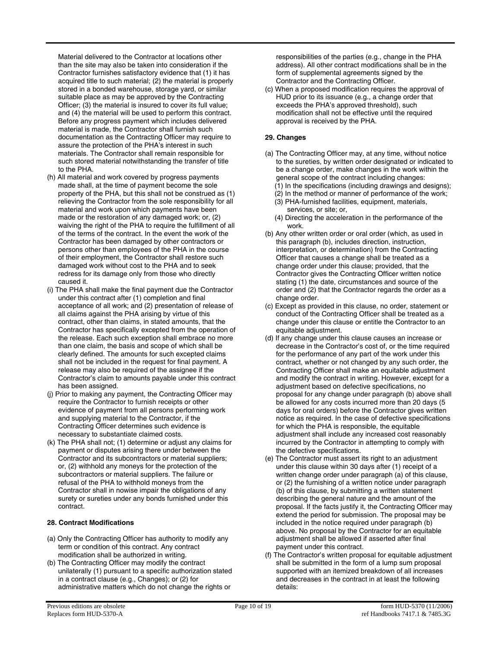Material delivered to the Contractor at locations other than the site may also be taken into consideration if the Contractor furnishes satisfactory evidence that (1) it has acquired title to such material; (2) the material is properly stored in a bonded warehouse, storage yard, or similar suitable place as may be approved by the Contracting Officer; (3) the material is insured to cover its full value; and (4) the material will be used to perform this contract. Before any progress payment which includes delivered material is made, the Contractor shall furnish such documentation as the Contracting Officer may require to assure the protection of the PHA's interest in such materials. The Contractor shall remain responsible for such stored material notwithstanding the transfer of title to the PHA.

- (h) All material and work covered by progress payments made shall, at the time of payment become the sole property of the PHA, but this shall not be construed as (1) relieving the Contractor from the sole responsibility for all material and work upon which payments have been made or the restoration of any damaged work; or, (2) waiving the right of the PHA to require the fulfillment of all of the terms of the contract. In the event the work of the Contractor has been damaged by other contractors or persons other than employees of the PHA in the course of their employment, the Contractor shall restore such damaged work without cost to the PHA and to seek redress for its damage only from those who directly caused it.
- (i) The PHA shall make the final payment due the Contractor under this contract after (1) completion and final acceptance of all work; and (2) presentation of release of all claims against the PHA arising by virtue of this contract, other than claims, in stated amounts, that the Contractor has specifically excepted from the operation of the release. Each such exception shall embrace no more than one claim, the basis and scope of which shall be clearly defined. The amounts for such excepted claims shall not be included in the request for final payment. A release may also be required of the assignee if the Contractor's claim to amounts payable under this contract has been assigned.
- (j) Prior to making any payment, the Contracting Officer may require the Contractor to furnish receipts or other evidence of payment from all persons performing work and supplying material to the Contractor, if the Contracting Officer determines such evidence is necessary to substantiate claimed costs.
- (k) The PHA shall not; (1) determine or adjust any claims for payment or disputes arising there under between the Contractor and its subcontractors or material suppliers; or, (2) withhold any moneys for the protection of the subcontractors or material suppliers. The failure or refusal of the PHA to withhold moneys from the Contractor shall in nowise impair the obligations of any surety or sureties under any bonds furnished under this contract.

# **28. Contract Modifications**

- (a) Only the Contracting Officer has authority to modify any term or condition of this contract. Any contract modification shall be authorized in writing.
- (b) The Contracting Officer may modify the contract unilaterally (1) pursuant to a specific authorization stated in a contract clause (e.g., Changes); or (2) for administrative matters which do not change the rights or

responsibilities of the parties (e.g., change in the PHA address). All other contract modifications shall be in the form of supplemental agreements signed by the Contractor and the Contracting Officer.

(c) When a proposed modification requires the approval of HUD prior to its issuance (e.g., a change order that exceeds the PHA's approved threshold), such modification shall not be effective until the required approval is received by the PHA.

# **29. Changes**

- (a) The Contracting Officer may, at any time, without notice to the sureties, by written order designated or indicated to be a change order, make changes in the work within the general scope of the contract including changes: (1) In the specifications (including drawings and designs);
	- (2) In the method or manner of performance of the work;
	- (3) PHA-furnished facilities, equipment, materials, services, or site; or,
	- (4) Directing the acceleration in the performance of the work.
- (b) Any other written order or oral order (which, as used in this paragraph (b), includes direction, instruction, interpretation, or determination) from the Contracting Officer that causes a change shall be treated as a change order under this clause; provided, that the Contractor gives the Contracting Officer written notice stating (1) the date, circumstances and source of the order and (2) that the Contractor regards the order as a change order.
- (c) Except as provided in this clause, no order, statement or conduct of the Contracting Officer shall be treated as a change under this clause or entitle the Contractor to an equitable adjustment.
- (d) If any change under this clause causes an increase or decrease in the Contractor's cost of, or the time required for the performance of any part of the work under this contract, whether or not changed by any such order, the Contracting Officer shall make an equitable adjustment and modify the contract in writing. However, except for a adjustment based on defective specifications, no proposal for any change under paragraph (b) above shall be allowed for any costs incurred more than 20 days (5 days for oral orders) before the Contractor gives written notice as required. In the case of defective specifications for which the PHA is responsible, the equitable adjustment shall include any increased cost reasonably incurred by the Contractor in attempting to comply with the defective specifications.
- (e) The Contractor must assert its right to an adjustment under this clause within 30 days after (1) receipt of a written change order under paragraph (a) of this clause, or (2) the furnishing of a written notice under paragraph (b) of this clause, by submitting a written statement describing the general nature and the amount of the proposal. If the facts justify it, the Contracting Officer may extend the period for submission. The proposal may be included in the notice required under paragraph (b) above. No proposal by the Contractor for an equitable adjustment shall be allowed if asserted after final payment under this contract.
- (f) The Contractor's written proposal for equitable adjustment shall be submitted in the form of a lump sum proposal supported with an itemized breakdown of all increases and decreases in the contract in at least the following details: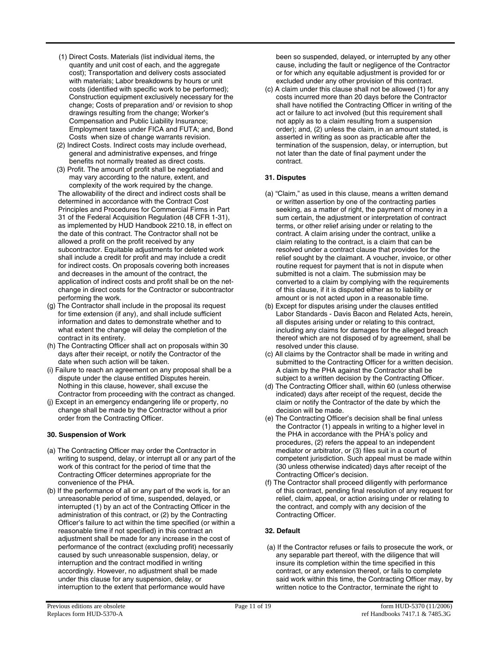- (1) Direct Costs. Materials (list individual items, the quantity and unit cost of each, and the aggregate cost); Transportation and delivery costs associated with materials; Labor breakdowns by hours or unit costs (identified with specific work to be performed); Construction equipment exclusively necessary for the change; Costs of preparation and/ or revision to shop drawings resulting from the change; Worker's Compensation and Public Liability Insurance; Employment taxes under FICA and FUTA; and, Bond Costs when size of change warrants revision.
- (2) Indirect Costs. Indirect costs may include overhead, general and administrative expenses, and fringe benefits not normally treated as direct costs.
- (3) Profit. The amount of profit shall be negotiated and may vary according to the nature, extent, and complexity of the work required by the change.

The allowability of the direct and indirect costs shall be determined in accordance with the Contract Cost Principles and Procedures for Commercial Firms in Part 31 of the Federal Acquisition Regulation (48 CFR 1-31), as implemented by HUD Handbook 2210.18, in effect on the date of this contract. The Contractor shall not be allowed a profit on the profit received by any subcontractor. Equitable adjustments for deleted work shall include a credit for profit and may include a credit for indirect costs. On proposals covering both increases and decreases in the amount of the contract, the application of indirect costs and profit shall be on the netchange in direct costs for the Contractor or subcontractor performing the work.

- (g) The Contractor shall include in the proposal its request for time extension (if any), and shall include sufficient information and dates to demonstrate whether and to what extent the change will delay the completion of the contract in its entirety.
- (h) The Contracting Officer shall act on proposals within 30 days after their receipt, or notify the Contractor of the date when such action will be taken.
- (i) Failure to reach an agreement on any proposal shall be a dispute under the clause entitled Disputes herein. Nothing in this clause, however, shall excuse the Contractor from proceeding with the contract as changed.
- (j) Except in an emergency endangering life or property, no change shall be made by the Contractor without a prior order from the Contracting Officer.

# **30. Suspension of Work**

- (a) The Contracting Officer may order the Contractor in writing to suspend, delay, or interrupt all or any part of the work of this contract for the period of time that the Contracting Officer determines appropriate for the convenience of the PHA.
- (b) If the performance of all or any part of the work is, for an unreasonable period of time, suspended, delayed, or interrupted (1) by an act of the Contracting Officer in the administration of this contract, or (2) by the Contracting Officer's failure to act within the time specified (or within a reasonable time if not specified) in this contract an adjustment shall be made for any increase in the cost of performance of the contract (excluding profit) necessarily caused by such unreasonable suspension, delay, or interruption and the contract modified in writing accordingly. However, no adjustment shall be made under this clause for any suspension, delay, or interruption to the extent that performance would have

been so suspended, delayed, or interrupted by any other cause, including the fault or negligence of the Contractor or for which any equitable adjustment is provided for or excluded under any other provision of this contract.

(c) A claim under this clause shall not be allowed (1) for any costs incurred more than 20 days before the Contractor shall have notified the Contracting Officer in writing of the act or failure to act involved (but this requirement shall not apply as to a claim resulting from a suspension order); and, (2) unless the claim, in an amount stated, is asserted in writing as soon as practicable after the termination of the suspension, delay, or interruption, but not later than the date of final payment under the contract.

# **31. Disputes**

- (a) "Claim," as used in this clause, means a written demand or written assertion by one of the contracting parties seeking, as a matter of right, the payment of money in a sum certain, the adjustment or interpretation of contract terms, or other relief arising under or relating to the contract. A claim arising under the contract, unlike a claim relating to the contract, is a claim that can be resolved under a contract clause that provides for the relief sought by the claimant. A voucher, invoice, or other routine request for payment that is not in dispute when submitted is not a claim. The submission may be converted to a claim by complying with the requirements of this clause, if it is disputed either as to liability or amount or is not acted upon in a reasonable time.
- (b) Except for disputes arising under the clauses entitled Labor Standards - Davis Bacon and Related Acts, herein, all disputes arising under or relating to this contract, including any claims for damages for the alleged breach thereof which are not disposed of by agreement, shall be resolved under this clause.
- (c) All claims by the Contractor shall be made in writing and submitted to the Contracting Officer for a written decision. A claim by the PHA against the Contractor shall be subject to a written decision by the Contracting Officer.
- (d) The Contracting Officer shall, within 60 (unless otherwise indicated) days after receipt of the request, decide the claim or notify the Contractor of the date by which the decision will be made.
- (e) The Contracting Officer's decision shall be final unless the Contractor (1) appeals in writing to a higher level in the PHA in accordance with the PHA's policy and procedures, (2) refers the appeal to an independent mediator or arbitrator, or (3) files suit in a court of competent jurisdiction. Such appeal must be made within (30 unless otherwise indicated) days after receipt of the Contracting Officer's decision.
- (f) The Contractor shall proceed diligently with performance of this contract, pending final resolution of any request for relief, claim, appeal, or action arising under or relating to the contract, and comply with any decision of the Contracting Officer.

# **32. Default**

 (a) If the Contractor refuses or fails to prosecute the work, or any separable part thereof, with the diligence that will insure its completion within the time specified in this contract, or any extension thereof, or fails to complete said work within this time, the Contracting Officer may, by written notice to the Contractor, terminate the right to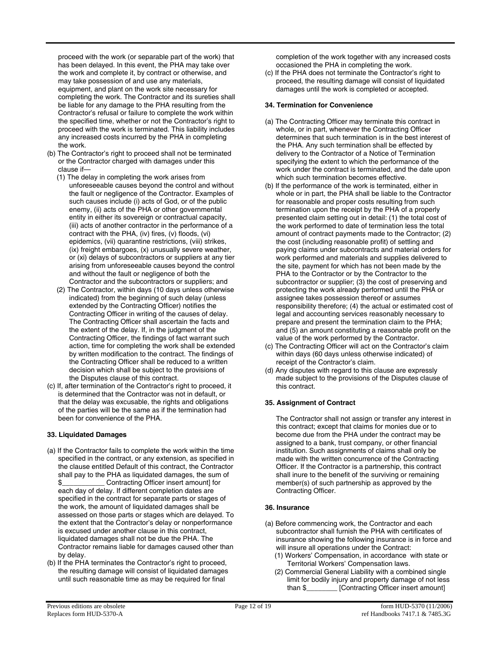proceed with the work (or separable part of the work) that has been delayed. In this event, the PHA may take over the work and complete it, by contract or otherwise, and may take possession of and use any materials, equipment, and plant on the work site necessary for completing the work. The Contractor and its sureties shall be liable for any damage to the PHA resulting from the Contractor's refusal or failure to complete the work within the specified time, whether or not the Contractor's right to proceed with the work is terminated. This liability includes any increased costs incurred by the PHA in completing the work.

- (b) The Contractor's right to proceed shall not be terminated or the Contractor charged with damages under this clause if—
	- (1) The delay in completing the work arises from unforeseeable causes beyond the control and without the fault or negligence of the Contractor. Examples of such causes include (i) acts of God, or of the public enemy, (ii) acts of the PHA or other governmental entity in either its sovereign or contractual capacity, (iii) acts of another contractor in the performance of a contract with the PHA, (iv) fires, (v) floods, (vi) epidemics, (vii) quarantine restrictions, (viii) strikes, (ix) freight embargoes, (x) unusually severe weather, or (xi) delays of subcontractors or suppliers at any tier arising from unforeseeable causes beyond the control and without the fault or negligence of both the Contractor and the subcontractors or suppliers; and
	- (2) The Contractor, within days (10 days unless otherwise indicated) from the beginning of such delay (unless extended by the Contracting Officer) notifies the Contracting Officer in writing of the causes of delay. The Contracting Officer shall ascertain the facts and the extent of the delay. If, in the judgment of the Contracting Officer, the findings of fact warrant such action, time for completing the work shall be extended by written modification to the contract. The findings of the Contracting Officer shall be reduced to a written decision which shall be subject to the provisions of the Disputes clause of this contract.
- (c) If, after termination of the Contractor's right to proceed, it is determined that the Contractor was not in default, or that the delay was excusable, the rights and obligations of the parties will be the same as if the termination had been for convenience of the PHA.

## **33. Liquidated Damages**

- (a) If the Contractor fails to complete the work within the time specified in the contract, or any extension, as specified in the clause entitled Default of this contract, the Contractor shall pay to the PHA as liquidated damages, the sum of \$\_\_\_\_\_\_\_\_\_\_\_ Contracting Officer insert amount] for each day of delay. If different completion dates are specified in the contract for separate parts or stages of the work, the amount of liquidated damages shall be assessed on those parts or stages which are delayed. To the extent that the Contractor's delay or nonperformance is excused under another clause in this contract, liquidated damages shall not be due the PHA. The Contractor remains liable for damages caused other than by delay.
- (b) If the PHA terminates the Contractor's right to proceed, the resulting damage will consist of liquidated damages until such reasonable time as may be required for final

completion of the work together with any increased costs occasioned the PHA in completing the work.

(c) If the PHA does not terminate the Contractor's right to proceed, the resulting damage will consist of liquidated damages until the work is completed or accepted.

## **34. Termination for Convenience**

- (a) The Contracting Officer may terminate this contract in whole, or in part, whenever the Contracting Officer determines that such termination is in the best interest of the PHA. Any such termination shall be effected by delivery to the Contractor of a Notice of Termination specifying the extent to which the performance of the work under the contract is terminated, and the date upon which such termination becomes effective.
- (b) If the performance of the work is terminated, either in whole or in part, the PHA shall be liable to the Contractor for reasonable and proper costs resulting from such termination upon the receipt by the PHA of a properly presented claim setting out in detail: (1) the total cost of the work performed to date of termination less the total amount of contract payments made to the Contractor; (2) the cost (including reasonable profit) of settling and paying claims under subcontracts and material orders for work performed and materials and supplies delivered to the site, payment for which has not been made by the PHA to the Contractor or by the Contractor to the subcontractor or supplier; (3) the cost of preserving and protecting the work already performed until the PHA or assignee takes possession thereof or assumes responsibility therefore; (4) the actual or estimated cost of legal and accounting services reasonably necessary to prepare and present the termination claim to the PHA; and (5) an amount constituting a reasonable profit on the value of the work performed by the Contractor.
- (c) The Contracting Officer will act on the Contractor's claim within days (60 days unless otherwise indicated) of receipt of the Contractor's claim.
- (d) Any disputes with regard to this clause are expressly made subject to the provisions of the Disputes clause of this contract.

# **35. Assignment of Contract**

The Contractor shall not assign or transfer any interest in this contract; except that claims for monies due or to become due from the PHA under the contract may be assigned to a bank, trust company, or other financial institution. Such assignments of claims shall only be made with the written concurrence of the Contracting Officer. If the Contractor is a partnership, this contract shall inure to the benefit of the surviving or remaining member(s) of such partnership as approved by the Contracting Officer.

## **36. Insurance**

- (a) Before commencing work, the Contractor and each subcontractor shall furnish the PHA with certificates of insurance showing the following insurance is in force and will insure all operations under the Contract:
	- (1) Workers' Compensation, in accordance with state or Territorial Workers' Compensation laws.
	- (2) Commercial General Liability with a combined single limit for bodily injury and property damage of not less than \$\_\_\_\_\_\_\_\_ [Contracting Officer insert amount]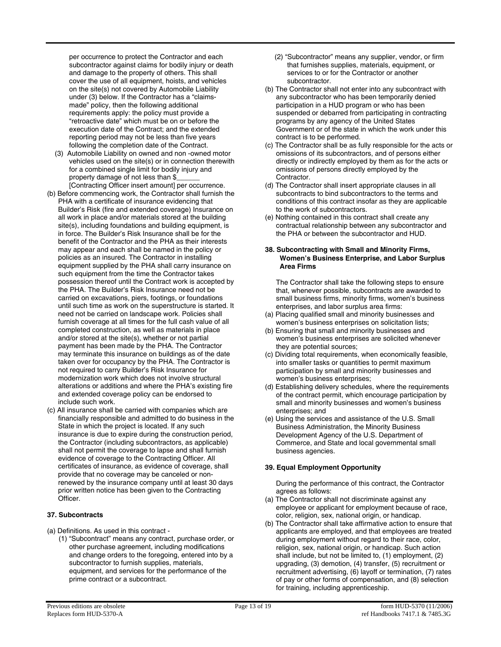per occurrence to protect the Contractor and each subcontractor against claims for bodily injury or death and damage to the property of others. This shall cover the use of all equipment, hoists, and vehicles on the site(s) not covered by Automobile Liability under (3) below. If the Contractor has a "claimsmade" policy, then the following additional requirements apply: the policy must provide a "retroactive date" which must be on or before the execution date of the Contract; and the extended reporting period may not be less than five years following the completion date of the Contract.

- (3) Automobile Liability on owned and non -owned motor vehicles used on the site(s) or in connection therewith for a combined single limit for bodily injury and property damage of not less than \$\_\_\_\_\_\_ [Contracting Officer insert amount] per occurrence.
- (b) Before commencing work, the Contractor shall furnish the PHA with a certificate of insurance evidencing that Builder's Risk (fire and extended coverage) Insurance on all work in place and/or materials stored at the building site(s), including foundations and building equipment, is in force. The Builder's Risk Insurance shall be for the benefit of the Contractor and the PHA as their interests may appear and each shall be named in the policy or policies as an insured. The Contractor in installing equipment supplied by the PHA shall carry insurance on such equipment from the time the Contractor takes possession thereof until the Contract work is accepted by the PHA. The Builder's Risk Insurance need not be carried on excavations, piers, footings, or foundations until such time as work on the superstructure is started. It need not be carried on landscape work. Policies shall furnish coverage at all times for the full cash value of all completed construction, as well as materials in place and/or stored at the site(s), whether or not partial payment has been made by the PHA. The Contractor may terminate this insurance on buildings as of the date taken over for occupancy by the PHA. The Contractor is not required to carry Builder's Risk Insurance for modernization work which does not involve structural alterations or additions and where the PHA's existing fire and extended coverage policy can be endorsed to include such work.
- (c) All insurance shall be carried with companies which are financially responsible and admitted to do business in the State in which the project is located. If any such insurance is due to expire during the construction period, the Contractor (including subcontractors, as applicable) shall not permit the coverage to lapse and shall furnish evidence of coverage to the Contracting Officer. All certificates of insurance, as evidence of coverage, shall provide that no coverage may be canceled or nonrenewed by the insurance company until at least 30 days prior written notice has been given to the Contracting Officer.

## **37. Subcontracts**

- (a) Definitions. As used in this contract
	- (1) "Subcontract" means any contract, purchase order, or other purchase agreement, including modifications and change orders to the foregoing, entered into by a subcontractor to furnish supplies, materials, equipment, and services for the performance of the prime contract or a subcontract.
- (2) "Subcontractor" means any supplier, vendor, or firm that furnishes supplies, materials, equipment, or services to or for the Contractor or another subcontractor.
- (b) The Contractor shall not enter into any subcontract with any subcontractor who has been temporarily denied participation in a HUD program or who has been suspended or debarred from participating in contracting programs by any agency of the United States Government or of the state in which the work under this contract is to be performed.
- (c) The Contractor shall be as fully responsible for the acts or omissions of its subcontractors, and of persons either directly or indirectly employed by them as for the acts or omissions of persons directly employed by the Contractor.
- (d) The Contractor shall insert appropriate clauses in all subcontracts to bind subcontractors to the terms and conditions of this contract insofar as they are applicable to the work of subcontractors.
- (e) Nothing contained in this contract shall create any contractual relationship between any subcontractor and the PHA or between the subcontractor and HUD.

#### **38. Subcontracting with Small and Minority Firms, Women's Business Enterprise, and Labor Surplus Area Firms**

The Contractor shall take the following steps to ensure that, whenever possible, subcontracts are awarded to small business firms, minority firms, women's business enterprises, and labor surplus area firms:

- (a) Placing qualified small and minority businesses and women's business enterprises on solicitation lists;
- (b) Ensuring that small and minority businesses and women's business enterprises are solicited whenever they are potential sources;
- (c) Dividing total requirements, when economically feasible, into smaller tasks or quantities to permit maximum participation by small and minority businesses and women's business enterprises;
- (d) Establishing delivery schedules, where the requirements of the contract permit, which encourage participation by small and minority businesses and women's business enterprises; and
- (e) Using the services and assistance of the U.S. Small Business Administration, the Minority Business Development Agency of the U.S. Department of Commerce, and State and local governmental small business agencies.

## **39. Equal Employment Opportunity**

During the performance of this contract, the Contractor agrees as follows:

- (a) The Contractor shall not discriminate against any employee or applicant for employment because of race, color, religion, sex, national origin, or handicap.
- (b) The Contractor shall take affirmative action to ensure that applicants are employed, and that employees are treated during employment without regard to their race, color, religion, sex, national origin, or handicap. Such action shall include, but not be limited to, (1) employment, (2) upgrading, (3) demotion, (4) transfer, (5) recruitment or recruitment advertising, (6) layoff or termination, (7) rates of pay or other forms of compensation, and (8) selection for training, including apprenticeship.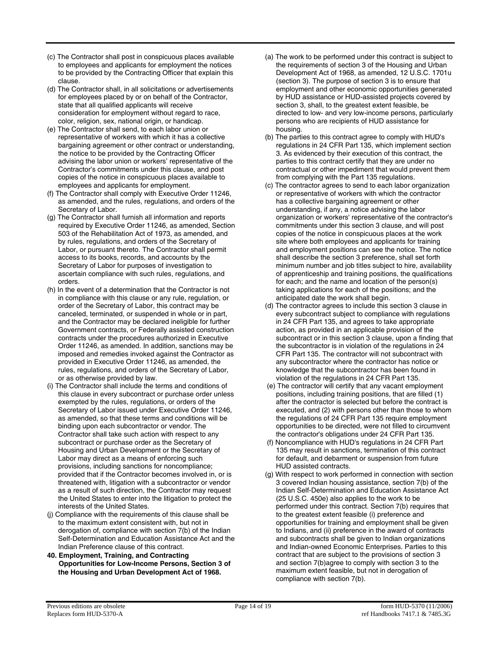- (c) The Contractor shall post in conspicuous places available to employees and applicants for employment the notices to be provided by the Contracting Officer that explain this clause.
- (d) The Contractor shall, in all solicitations or advertisements for employees placed by or on behalf of the Contractor, state that all qualified applicants will receive consideration for employment without regard to race, color, religion, sex, national origin, or handicap.
- (e) The Contractor shall send, to each labor union or representative of workers with which it has a collective bargaining agreement or other contract or understanding, the notice to be provided by the Contracting Officer advising the labor union or workers' representative of the Contractor's commitments under this clause, and post copies of the notice in conspicuous places available to employees and applicants for employment.
- (f) The Contractor shall comply with Executive Order 11246, as amended, and the rules, regulations, and orders of the Secretary of Labor.
- (g) The Contractor shall furnish all information and reports required by Executive Order 11246, as amended, Section 503 of the Rehabilitation Act of 1973, as amended, and by rules, regulations, and orders of the Secretary of Labor, or pursuant thereto. The Contractor shall permit access to its books, records, and accounts by the Secretary of Labor for purposes of investigation to ascertain compliance with such rules, regulations, and orders.
- (h) In the event of a determination that the Contractor is not in compliance with this clause or any rule, regulation, or order of the Secretary of Labor, this contract may be canceled, terminated, or suspended in whole or in part, and the Contractor may be declared ineligible for further Government contracts, or Federally assisted construction contracts under the procedures authorized in Executive Order 11246, as amended. In addition, sanctions may be imposed and remedies invoked against the Contractor as provided in Executive Order 11246, as amended, the rules, regulations, and orders of the Secretary of Labor, or as otherwise provided by law.
- (i) The Contractor shall include the terms and conditions of this clause in every subcontract or purchase order unless exempted by the rules, regulations, or orders of the Secretary of Labor issued under Executive Order 11246, as amended, so that these terms and conditions will be binding upon each subcontractor or vendor. The Contractor shall take such action with respect to any subcontract or purchase order as the Secretary of Housing and Urban Development or the Secretary of Labor may direct as a means of enforcing such provisions, including sanctions for noncompliance; provided that if the Contractor becomes involved in, or is threatened with, litigation with a subcontractor or vendor as a result of such direction, the Contractor may request the United States to enter into the litigation to protect the interests of the United States.
- (j) Compliance with the requirements of this clause shall be to the maximum extent consistent with, but not in derogation of, compliance with section 7(b) of the Indian Self-Determination and Education Assistance Act and the Indian Preference clause of this contract.
- **40. Employment, Training, and Contracting Opportunities for Low-Income Persons, Section 3 of the Housing and Urban Development Act of 1968.**
- (a) The work to be performed under this contract is subject to the requirements of section 3 of the Housing and Urban Development Act of 1968, as amended, 12 U.S.C. 1701u (section 3). The purpose of section 3 is to ensure that employment and other economic opportunities generated by HUD assistance or HUD-assisted projects covered by section 3, shall, to the greatest extent feasible, be directed to low- and very low-income persons, particularly persons who are recipients of HUD assistance for housing.
- (b) The parties to this contract agree to comply with HUD's regulations in 24 CFR Part 135, which implement section 3. As evidenced by their execution of this contract, the parties to this contract certify that they are under no contractual or other impediment that would prevent them from complying with the Part 135 regulations.
- (c) The contractor agrees to send to each labor organization or representative of workers with which the contractor has a collective bargaining agreement or other understanding, if any, a notice advising the labor organization or workers' representative of the contractor's commitments under this section 3 clause, and will post copies of the notice in conspicuous places at the work site where both employees and applicants for training and employment positions can see the notice. The notice shall describe the section 3 preference, shall set forth minimum number and job titles subject to hire, availability of apprenticeship and training positions, the qualifications for each; and the name and location of the person(s) taking applications for each of the positions; and the anticipated date the work shall begin.
- (d) The contractor agrees to include this section 3 clause in every subcontract subject to compliance with regulations in 24 CFR Part 135, and agrees to take appropriate action, as provided in an applicable provision of the subcontract or in this section 3 clause, upon a finding that the subcontractor is in violation of the regulations in 24 CFR Part 135. The contractor will not subcontract with any subcontractor where the contractor has notice or knowledge that the subcontractor has been found in violation of the regulations in 24 CFR Part 135.
- (e) The contractor will certify that any vacant employment positions, including training positions, that are filled (1) after the contractor is selected but before the contract is executed, and (2) with persons other than those to whom the regulations of 24 CFR Part 135 require employment opportunities to be directed, were not filled to circumvent the contractor's obligations under 24 CFR Part 135.
- (f) Noncompliance with HUD's regulations in 24 CFR Part 135 may result in sanctions, termination of this contract for default, and debarment or suspension from future HUD assisted contracts.
- (g) With respect to work performed in connection with section 3 covered Indian housing assistance, section 7(b) of the Indian Self-Determination and Education Assistance Act (25 U.S.C. 450e) also applies to the work to be performed under this contract. Section 7(b) requires that to the greatest extent feasible (i) preference and opportunities for training and employment shall be given to Indians, and (ii) preference in the award of contracts and subcontracts shall be given to Indian organizations and Indian-owned Economic Enterprises. Parties to this contract that are subject to the provisions of section 3 and section 7(b)agree to comply with section 3 to the maximum extent feasible, but not in derogation of compliance with section 7(b).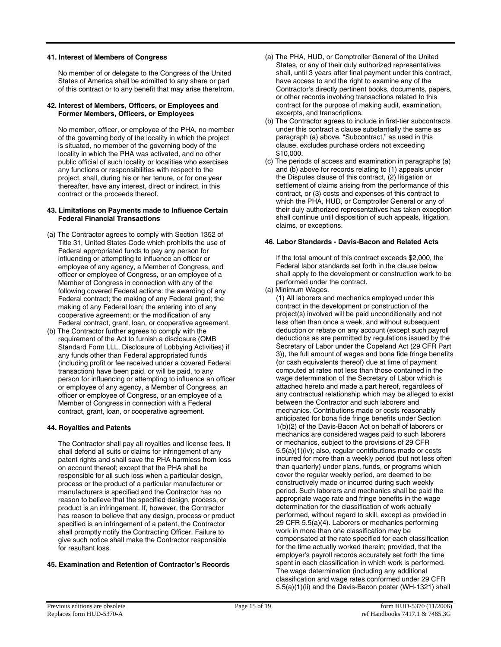#### **41. Interest of Members of Congress**

No member of or delegate to the Congress of the United States of America shall be admitted to any share or part of this contract or to any benefit that may arise therefrom.

#### **42. Interest of Members, Officers, or Employees and Former Members, Officers, or Employees**

No member, officer, or employee of the PHA, no member of the governing body of the locality in which the project is situated, no member of the governing body of the locality in which the PHA was activated, and no other public official of such locality or localities who exercises any functions or responsibilities with respect to the project, shall, during his or her tenure, or for one year thereafter, have any interest, direct or indirect, in this contract or the proceeds thereof.

#### **43. Limitations on Payments made to Influence Certain Federal Financial Transactions**

- (a) The Contractor agrees to comply with Section 1352 of Title 31, United States Code which prohibits the use of Federal appropriated funds to pay any person for influencing or attempting to influence an officer or employee of any agency, a Member of Congress, and officer or employee of Congress, or an employee of a Member of Congress in connection with any of the following covered Federal actions: the awarding of any Federal contract; the making of any Federal grant; the making of any Federal loan; the entering into of any cooperative agreement; or the modification of any Federal contract, grant, loan, or cooperative agreement.
- (b) The Contractor further agrees to comply with the requirement of the Act to furnish a disclosure (OMB Standard Form LLL, Disclosure of Lobbying Activities) if any funds other than Federal appropriated funds (including profit or fee received under a covered Federal transaction) have been paid, or will be paid, to any person for influencing or attempting to influence an officer or employee of any agency, a Member of Congress, an officer or employee of Congress, or an employee of a Member of Congress in connection with a Federal contract, grant, loan, or cooperative agreement.

## **44. Royalties and Patents**

The Contractor shall pay all royalties and license fees. It shall defend all suits or claims for infringement of any patent rights and shall save the PHA harmless from loss on account thereof; except that the PHA shall be responsible for all such loss when a particular design, process or the product of a particular manufacturer or manufacturers is specified and the Contractor has no reason to believe that the specified design, process, or product is an infringement. If, however, the Contractor has reason to believe that any design, process or product specified is an infringement of a patent, the Contractor shall promptly notify the Contracting Officer. Failure to give such notice shall make the Contractor responsible for resultant loss.

# **45. Examination and Retention of Contractor's Records**

- (a) The PHA, HUD, or Comptroller General of the United States, or any of their duly authorized representatives shall, until 3 years after final payment under this contract, have access to and the right to examine any of the Contractor's directly pertinent books, documents, papers, or other records involving transactions related to this contract for the purpose of making audit, examination, excerpts, and transcriptions.
- (b) The Contractor agrees to include in first-tier subcontracts under this contract a clause substantially the same as paragraph (a) above. "Subcontract," as used in this clause, excludes purchase orders not exceeding \$10,000.
- (c) The periods of access and examination in paragraphs (a) and (b) above for records relating to (1) appeals under the Disputes clause of this contract, (2) litigation or settlement of claims arising from the performance of this contract, or (3) costs and expenses of this contract to which the PHA, HUD, or Comptroller General or any of their duly authorized representatives has taken exception shall continue until disposition of such appeals, litigation, claims, or exceptions.

## **46. Labor Standards - Davis-Bacon and Related Acts**

If the total amount of this contract exceeds \$2,000, the Federal labor standards set forth in the clause below shall apply to the development or construction work to be performed under the contract.

## (a) Minimum Wages.

(1) All laborers and mechanics employed under this contract in the development or construction of the project(s) involved will be paid unconditionally and not less often than once a week, and without subsequent deduction or rebate on any account (except such payroll deductions as are permitted by regulations issued by the Secretary of Labor under the Copeland Act (29 CFR Part 3)), the full amount of wages and bona fide fringe benefits (or cash equivalents thereof) due at time of payment computed at rates not less than those contained in the wage determination of the Secretary of Labor which is attached hereto and made a part hereof, regardless of any contractual relationship which may be alleged to exist between the Contractor and such laborers and mechanics. Contributions made or costs reasonably anticipated for bona fide fringe benefits under Section 1(b)(2) of the Davis-Bacon Act on behalf of laborers or mechanics are considered wages paid to such laborers or mechanics, subject to the provisions of 29 CFR 5.5(a)(1)(iv); also, regular contributions made or costs incurred for more than a weekly period (but not less often than quarterly) under plans, funds, or programs which cover the regular weekly period, are deemed to be constructively made or incurred during such weekly period. Such laborers and mechanics shall be paid the appropriate wage rate and fringe benefits in the wage determination for the classification of work actually performed, without regard to skill, except as provided in 29 CFR 5.5(a)(4). Laborers or mechanics performing work in more than one classification may be compensated at the rate specified for each classification for the time actually worked therein; provided, that the employer's payroll records accurately set forth the time spent in each classification in which work is performed. The wage determination (including any additional classification and wage rates conformed under 29 CFR 5.5(a)(1)(ii) and the Davis-Bacon poster (WH-1321) shall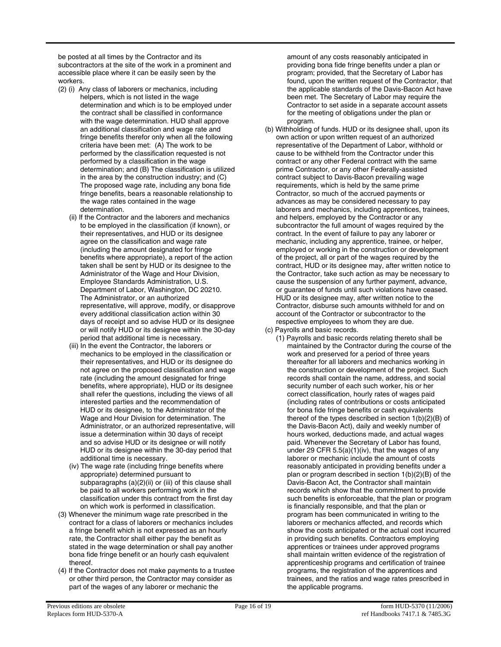be posted at all times by the Contractor and its subcontractors at the site of the work in a prominent and accessible place where it can be easily seen by the workers.

- (2) (i) Any class of laborers or mechanics, including helpers, which is not listed in the wage determination and which is to be employed under the contract shall be classified in conformance with the wage determination. HUD shall approve an additional classification and wage rate and fringe benefits therefor only when all the following criteria have been met: (A) The work to be performed by the classification requested is not performed by a classification in the wage determination; and (B) The classification is utilized in the area by the construction industry; and (C) The proposed wage rate, including any bona fide fringe benefits, bears a reasonable relationship to the wage rates contained in the wage determination.
	- (ii) If the Contractor and the laborers and mechanics to be employed in the classification (if known), or their representatives, and HUD or its designee agree on the classification and wage rate (including the amount designated for fringe benefits where appropriate), a report of the action taken shall be sent by HUD or its designee to the Administrator of the Wage and Hour Division, Employee Standards Administration, U.S. Department of Labor, Washington, DC 20210. The Administrator, or an authorized representative, will approve, modify, or disapprove every additional classification action within 30 days of receipt and so advise HUD or its designee or will notify HUD or its designee within the 30-day period that additional time is necessary.
	- (iii) In the event the Contractor, the laborers or mechanics to be employed in the classification or their representatives, and HUD or its designee do not agree on the proposed classification and wage rate (including the amount designated for fringe benefits, where appropriate), HUD or its designee shall refer the questions, including the views of all interested parties and the recommendation of HUD or its designee, to the Administrator of the Wage and Hour Division for determination. The Administrator, or an authorized representative, will issue a determination within 30 days of receipt and so advise HUD or its designee or will notify HUD or its designee within the 30-day period that additional time is necessary.
	- (iv) The wage rate (including fringe benefits where appropriate) determined pursuant to subparagraphs (a)(2)(ii) or (iii) of this clause shall be paid to all workers performing work in the classification under this contract from the first day on which work is performed in classification.
- (3) Whenever the minimum wage rate prescribed in the contract for a class of laborers or mechanics includes a fringe benefit which is not expressed as an hourly rate, the Contractor shall either pay the benefit as stated in the wage determination or shall pay another bona fide fringe benefit or an hourly cash equivalent thereof.
- (4) If the Contractor does not make payments to a trustee or other third person, the Contractor may consider as part of the wages of any laborer or mechanic the

amount of any costs reasonably anticipated in providing bona fide fringe benefits under a plan or program; provided, that the Secretary of Labor has found, upon the written request of the Contractor, that the applicable standards of the Davis-Bacon Act have been met. The Secretary of Labor may require the Contractor to set aside in a separate account assets for the meeting of obligations under the plan or program.

- (b) Withholding of funds. HUD or its designee shall, upon its own action or upon written request of an authorized representative of the Department of Labor, withhold or cause to be withheld from the Contractor under this contract or any other Federal contract with the same prime Contractor, or any other Federally-assisted contract subject to Davis-Bacon prevailing wage requirements, which is held by the same prime Contractor, so much of the accrued payments or advances as may be considered necessary to pay laborers and mechanics, including apprentices, trainees, and helpers, employed by the Contractor or any subcontractor the full amount of wages required by the contract. In the event of failure to pay any laborer or mechanic, including any apprentice, trainee, or helper, employed or working in the construction or development of the project, all or part of the wages required by the contract, HUD or its designee may, after written notice to the Contractor, take such action as may be necessary to cause the suspension of any further payment, advance, or guarantee of funds until such violations have ceased. HUD or its designee may, after written notice to the Contractor, disburse such amounts withheld for and on account of the Contractor or subcontractor to the respective employees to whom they are due.
- (c) Payrolls and basic records.
	- (1) Payrolls and basic records relating thereto shall be maintained by the Contractor during the course of the work and preserved for a period of three years thereafter for all laborers and mechanics working in the construction or development of the project. Such records shall contain the name, address, and social security number of each such worker, his or her correct classification, hourly rates of wages paid (including rates of contributions or costs anticipated for bona fide fringe benefits or cash equivalents thereof of the types described in section 1(b)(2)(B) of the Davis-Bacon Act), daily and weekly number of hours worked, deductions made, and actual wages paid. Whenever the Secretary of Labor has found, under 29 CFR  $5.5(a)(1)(iv)$ , that the wages of any laborer or mechanic include the amount of costs reasonably anticipated in providing benefits under a plan or program described in section 1(b)(2)(B) of the Davis-Bacon Act, the Contractor shall maintain records which show that the commitment to provide such benefits is enforceable, that the plan or program is financially responsible, and that the plan or program has been communicated in writing to the laborers or mechanics affected, and records which show the costs anticipated or the actual cost incurred in providing such benefits. Contractors employing apprentices or trainees under approved programs shall maintain written evidence of the registration of apprenticeship programs and certification of trainee programs, the registration of the apprentices and trainees, and the ratios and wage rates prescribed in the applicable programs.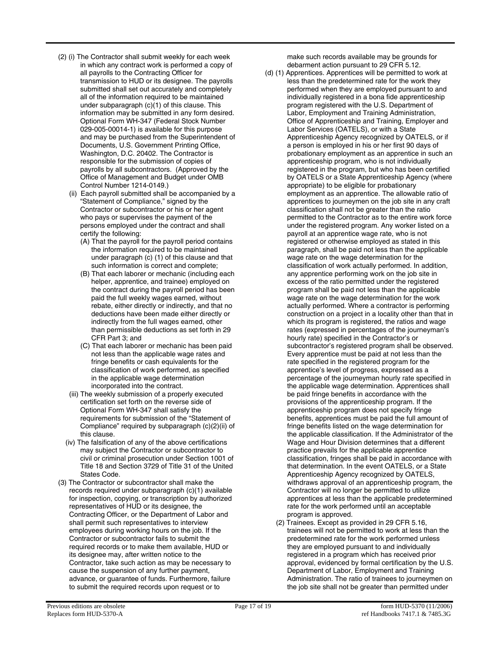- (2) (i) The Contractor shall submit weekly for each week in which any contract work is performed a copy of all payrolls to the Contracting Officer for transmission to HUD or its designee. The payrolls submitted shall set out accurately and completely all of the information required to be maintained under subparagraph (c)(1) of this clause. This information may be submitted in any form desired. Optional Form WH-347 (Federal Stock Number 029-005-00014-1) is available for this purpose and may be purchased from the Superintendent of Documents, U.S. Government Printing Office, Washington, D.C. 20402. The Contractor is responsible for the submission of copies of payrolls by all subcontractors. (Approved by the Office of Management and Budget under OMB Control Number 1214-0149.)
	- (ii) Each payroll submitted shall be accompanied by a "Statement of Compliance," signed by the Contractor or subcontractor or his or her agent who pays or supervises the payment of the persons employed under the contract and shall certify the following:
		- (A) That the payroll for the payroll period contains the information required to be maintained under paragraph (c) (1) of this clause and that such information is correct and complete;
		- (B) That each laborer or mechanic (including each helper, apprentice, and trainee) employed on the contract during the payroll period has been paid the full weekly wages earned, without rebate, either directly or indirectly, and that no deductions have been made either directly or indirectly from the full wages earned, other than permissible deductions as set forth in 29 CFR Part 3; and
		- (C) That each laborer or mechanic has been paid not less than the applicable wage rates and fringe benefits or cash equivalents for the classification of work performed, as specified in the applicable wage determination incorporated into the contract.
	- (iii) The weekly submission of a properly executed certification set forth on the reverse side of Optional Form WH-347 shall satisfy the requirements for submission of the "Statement of Compliance" required by subparagraph (c)(2)(ii) of this clause.
	- (iv) The falsification of any of the above certifications may subject the Contractor or subcontractor to civil or criminal prosecution under Section 1001 of Title 18 and Section 3729 of Title 31 of the United States Code.
- (3) The Contractor or subcontractor shall make the records required under subparagraph (c)(1) available for inspection, copying, or transcription by authorized representatives of HUD or its designee, the Contracting Officer, or the Department of Labor and shall permit such representatives to interview employees during working hours on the job. If the Contractor or subcontractor fails to submit the required records or to make them available, HUD or its designee may, after written notice to the Contractor, take such action as may be necessary to cause the suspension of any further payment, advance, or guarantee of funds. Furthermore, failure to submit the required records upon request or to

make such records available may be grounds for debarment action pursuant to 29 CFR 5.12.

- (d) (1) Apprentices. Apprentices will be permitted to work at less than the predetermined rate for the work they performed when they are employed pursuant to and individually registered in a bona fide apprenticeship program registered with the U.S. Department of Labor, Employment and Training Administration, Office of Apprenticeship and Training, Employer and Labor Services (OATELS), or with a State Apprenticeship Agency recognized by OATELS, or if a person is employed in his or her first 90 days of probationary employment as an apprentice in such an apprenticeship program, who is not individually registered in the program, but who has been certified by OATELS or a State Apprenticeship Agency (where appropriate) to be eligible for probationary employment as an apprentice. The allowable ratio of apprentices to journeymen on the job site in any craft classification shall not be greater than the ratio permitted to the Contractor as to the entire work force under the registered program. Any worker listed on a payroll at an apprentice wage rate, who is not registered or otherwise employed as stated in this paragraph, shall be paid not less than the applicable wage rate on the wage determination for the classification of work actually performed. In addition, any apprentice performing work on the job site in excess of the ratio permitted under the registered program shall be paid not less than the applicable wage rate on the wage determination for the work actually performed. Where a contractor is performing construction on a project in a locality other than that in which its program is registered, the ratios and wage rates (expressed in percentages of the journeyman's hourly rate) specified in the Contractor's or subcontractor's registered program shall be observed. Every apprentice must be paid at not less than the rate specified in the registered program for the apprentice's level of progress, expressed as a percentage of the journeyman hourly rate specified in the applicable wage determination. Apprentices shall be paid fringe benefits in accordance with the provisions of the apprenticeship program. If the apprenticeship program does not specify fringe benefits, apprentices must be paid the full amount of fringe benefits listed on the wage determination for the applicable classification. If the Administrator of the Wage and Hour Division determines that a different practice prevails for the applicable apprentice classification, fringes shall be paid in accordance with that determination. In the event OATELS, or a State Apprenticeship Agency recognized by OATELS, withdraws approval of an apprenticeship program, the Contractor will no longer be permitted to utilize apprentices at less than the applicable predetermined rate for the work performed until an acceptable program is approved.
	- (2) Trainees. Except as provided in 29 CFR 5.16, trainees will not be permitted to work at less than the predetermined rate for the work performed unless they are employed pursuant to and individually registered in a program which has received prior approval, evidenced by formal certification by the U.S. Department of Labor, Employment and Training Administration. The ratio of trainees to journeymen on the job site shall not be greater than permitted under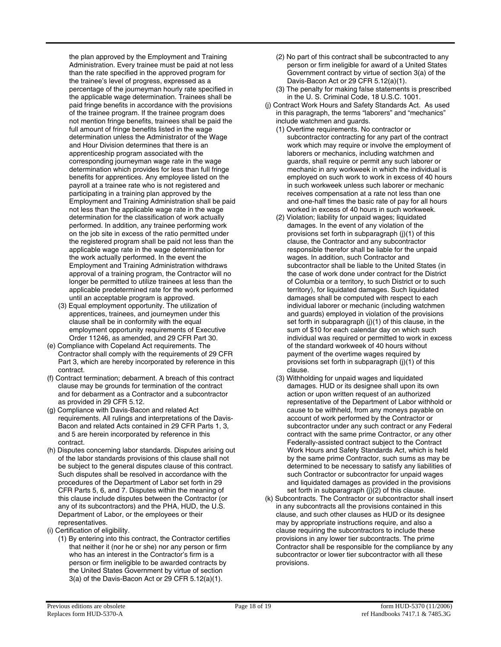the plan approved by the Employment and Training Administration. Every trainee must be paid at not less than the rate specified in the approved program for the trainee's level of progress, expressed as a percentage of the journeyman hourly rate specified in the applicable wage determination. Trainees shall be paid fringe benefits in accordance with the provisions of the trainee program. If the trainee program does not mention fringe benefits, trainees shall be paid the full amount of fringe benefits listed in the wage determination unless the Administrator of the Wage and Hour Division determines that there is an apprenticeship program associated with the corresponding journeyman wage rate in the wage determination which provides for less than full fringe benefits for apprentices. Any employee listed on the payroll at a trainee rate who is not registered and participating in a training plan approved by the Employment and Training Administration shall be paid not less than the applicable wage rate in the wage determination for the classification of work actually performed. In addition, any trainee performing work on the job site in excess of the ratio permitted under the registered program shall be paid not less than the applicable wage rate in the wage determination for the work actually performed. In the event the Employment and Training Administration withdraws approval of a training program, the Contractor will no longer be permitted to utilize trainees at less than the applicable predetermined rate for the work performed until an acceptable program is approved.

- (3) Equal employment opportunity. The utilization of apprentices, trainees, and journeymen under this clause shall be in conformity with the equal employment opportunity requirements of Executive Order 11246, as amended, and 29 CFR Part 30.
- (e) Compliance with Copeland Act requirements. The Contractor shall comply with the requirements of 29 CFR Part 3, which are hereby incorporated by reference in this contract.
- (f) Contract termination; debarment. A breach of this contract clause may be grounds for termination of the contract and for debarment as a Contractor and a subcontractor as provided in 29 CFR 5.12.
- (g) Compliance with Davis-Bacon and related Act requirements. All rulings and interpretations of the Davis-Bacon and related Acts contained in 29 CFR Parts 1, 3, and 5 are herein incorporated by reference in this contract.
- (h) Disputes concerning labor standards. Disputes arising out of the labor standards provisions of this clause shall not be subject to the general disputes clause of this contract. Such disputes shall be resolved in accordance with the procedures of the Department of Labor set forth in 29 CFR Parts 5, 6, and 7. Disputes within the meaning of this clause include disputes between the Contractor (or any of its subcontractors) and the PHA, HUD, the U.S. Department of Labor, or the employees or their representatives.
- (i) Certification of eligibility.
	- (1) By entering into this contract, the Contractor certifies that neither it (nor he or she) nor any person or firm who has an interest in the Contractor's firm is a person or firm ineligible to be awarded contracts by the United States Government by virtue of section 3(a) of the Davis-Bacon Act or 29 CFR 5.12(a)(1).
- (2) No part of this contract shall be subcontracted to any person or firm ineligible for award of a United States Government contract by virtue of section 3(a) of the Davis-Bacon Act or 29 CFR 5.12(a)(1).
- (3) The penalty for making false statements is prescribed in the U. S. Criminal Code, 18 U.S.C. 1001.
- (j) Contract Work Hours and Safety Standards Act. As used in this paragraph, the terms "laborers" and "mechanics" include watchmen and guards.
	- (1) Overtime requirements. No contractor or subcontractor contracting for any part of the contract work which may require or involve the employment of laborers or mechanics, including watchmen and guards, shall require or permit any such laborer or mechanic in any workweek in which the individual is employed on such work to work in excess of 40 hours in such workweek unless such laborer or mechanic receives compensation at a rate not less than one and one-half times the basic rate of pay for all hours worked in excess of 40 hours in such workweek.
	- (2) Violation; liability for unpaid wages; liquidated damages. In the event of any violation of the provisions set forth in subparagraph (j)(1) of this clause, the Contractor and any subcontractor responsible therefor shall be liable for the unpaid wages. In addition, such Contractor and subcontractor shall be liable to the United States (in the case of work done under contract for the District of Columbia or a territory, to such District or to such territory), for liquidated damages. Such liquidated damages shall be computed with respect to each individual laborer or mechanic (including watchmen and guards) employed in violation of the provisions set forth in subparagraph (j)(1) of this clause, in the sum of \$10 for each calendar day on which such individual was required or permitted to work in excess of the standard workweek of 40 hours without payment of the overtime wages required by provisions set forth in subparagraph (j)(1) of this clause.
	- (3) Withholding for unpaid wages and liquidated damages. HUD or its designee shall upon its own action or upon written request of an authorized representative of the Department of Labor withhold or cause to be withheld, from any moneys payable on account of work performed by the Contractor or subcontractor under any such contract or any Federal contract with the same prime Contractor, or any other Federally-assisted contract subject to the Contract Work Hours and Safety Standards Act, which is held by the same prime Contractor, such sums as may be determined to be necessary to satisfy any liabilities of such Contractor or subcontractor for unpaid wages and liquidated damages as provided in the provisions set forth in subparagraph (j)(2) of this clause.
- (k) Subcontracts. The Contractor or subcontractor shall insert in any subcontracts all the provisions contained in this clause, and such other clauses as HUD or its designee may by appropriate instructions require, and also a clause requiring the subcontractors to include these provisions in any lower tier subcontracts. The prime Contractor shall be responsible for the compliance by any subcontractor or lower tier subcontractor with all these provisions.